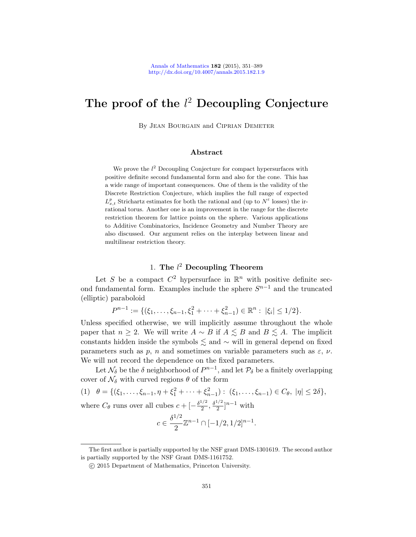# The proof of the  $l^2$  Decoupling Conjecture

By Jean Bourgain and Ciprian Demeter

### Abstract

We prove the  $l^2$  Decoupling Conjecture for compact hypersurfaces with positive definite second fundamental form and also for the cone. This has a wide range of important consequences. One of them is the validity of the Discrete Restriction Conjecture, which implies the full range of expected  $L_{x,t}^p$  Strichartz estimates for both the rational and (up to  $N^{\varepsilon}$  losses) the irrational torus. Another one is an improvement in the range for the discrete restriction theorem for lattice points on the sphere. Various applications to Additive Combinatorics, Incidence Geometry and Number Theory are also discussed. Our argument relies on the interplay between linear and multilinear restriction theory.

# 1. The  $l^2$  Decoupling Theorem

Let S be a compact  $C^2$  hypersurface in  $\mathbb{R}^n$  with positive definite second fundamental form. Examples include the sphere  $S^{n-1}$  and the truncated (elliptic) paraboloid

$$
P^{n-1} := \{(\xi_1, \ldots, \xi_{n-1}, \xi_1^2 + \cdots + \xi_{n-1}^2) \in \mathbb{R}^n : |\xi_i| \leq 1/2\}.
$$

<span id="page-0-0"></span>Unless specified otherwise, we will implicitly assume throughout the whole paper that  $n \ge 2$ . We will write  $A \sim B$  if  $A \le B$  and  $B \le A$ . The implicit constants hidden inside the symbols  $\leq$  and  $\sim$  will in general depend on fixed parameters such as p, n and sometimes on variable parameters such as  $\varepsilon$ ,  $\nu$ . We will not record the dependence on the fixed parameters.

Let  $\mathcal{N}_{\delta}$  be the  $\delta$  neighborhood of  $P^{n-1}$ , and let  $\mathcal{P}_{\delta}$  be a finitely overlapping cover of  $\mathcal{N}_{\delta}$  with curved regions  $\theta$  of the form

(1)  $\theta = \{(\xi_1, \ldots, \xi_{n-1}, \eta + \xi_1^2 + \cdots + \xi_{n-1}^2) : (\xi_1, \ldots, \xi_{n-1}) \in C_\theta, |\eta| \le 2\delta\},\$ where  $C_{\theta}$  runs over all cubes  $c + \left[-\frac{\delta^{1/2}}{2}\right]$  $\frac{1/2}{2}, \frac{\delta^{1/2}}{2}$  $\frac{1}{2}$ ]<sup>n-1</sup> with

$$
c \in \frac{\delta^{1/2}}{2} \mathbb{Z}^{n-1} \cap [-1/2, 1/2]^{n-1}.
$$

The first author is partially supported by the NSF grant DMS-1301619. The second author is partially supported by the NSF Grant DMS-1161752.

c 2015 Department of Mathematics, Princeton University.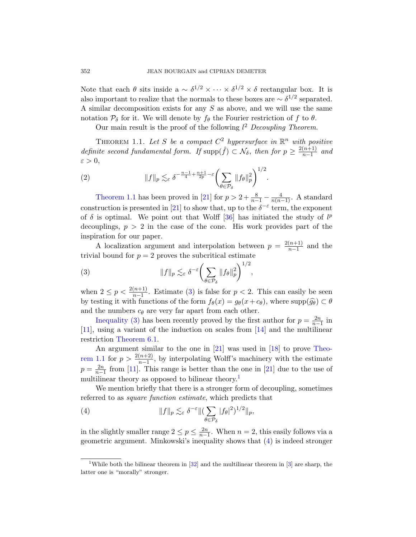<span id="page-1-4"></span>Note that each  $\theta$  sits inside a  $\sim \delta^{1/2} \times \cdots \times \delta^{1/2} \times \delta$  rectangular box. It is also important to realize that the normals to these boxes are  $\sim \delta^{1/2}$  separated. A similar decomposition exists for any  $S$  as above, and we will use the same notation  $P_{\delta}$  for it. We will denote by  $f_{\theta}$  the Fourier restriction of f to  $\theta$ .

Our main result is the proof of the following  $l^2$  Decoupling Theorem.

THEOREM 1.1. Let S be a compact  $C^2$  hypersurface in  $\mathbb{R}^n$  with positive defin[ite](#page-37-0) second funda[me](#page-38-0)ntal form. If  $\text{supp}(\hat{f}) \subset \mathcal{N}_{\delta}$ , then for  $p \geq \frac{2(n+1)}{n-1}$  $\frac{(n+1)}{n-1}$  and  $\varepsilon > 0$ ,

(2) 
$$
||f||_p \lesssim_{\varepsilon} \delta^{-\frac{n-1}{4} + \frac{n+1}{2p} - \varepsilon} \bigg(\sum_{\theta \in \mathcal{P}_{\delta}} ||f_{\theta}||_p^2\bigg)^{1/2}.
$$

<span id="page-1-0"></span>Theorem 1.1 has been proved in [21] for  $p > 2 + \frac{8}{n-1} - \frac{4}{n(n-1)}$ . A standard construction is presented in [21] to show that, up to the  $\delta^{-\epsilon}$  term, the exponent of  $\delta$  is optimal. We point out that Wolff [36] has initiated the study of  $l^p$ decouplings,  $p > 2$  in the case of the cone. His work provides part of the inspiratio[n f](#page-1-0)or our paper.

A localization argument and interpolation between  $p = \frac{2(n+1)}{n-1}$  $\frac{(n+1)}{n-1}$  and the trivial bound for  $p = 2$  proves the subcritical estimate

(3) 
$$
||f||_p \lesssim_{\varepsilon} \delta^{-\varepsilon} \left( \sum_{\theta \in \mathcal{P}_{\delta}} ||f_{\theta}||_p^2 \right)^{1/2},
$$

when  $2 \le p < \frac{2(n+1)}{n-1}$  $2 \le p < \frac{2(n+1)}{n-1}$  $2 \le p < \frac{2(n+1)}{n-1}$ . Estimate (3) [is](#page-37-2) false for  $p < 2$ . This can easily be seen by testing it with functions of the form  $f_{\theta}(x) = g_{\theta}(x+c_{\theta})$ , where  $\text{supp}(\widehat{g_{\theta}}) \subset \theta$ and the numbers  $c_{\theta}$  are very far [apar](#page-37-0)t from each other.

Inequality (3) has b[een](#page-1-2) recently proved by the first author for  $p = \frac{2n}{n-1}$  in [11], using a variant of the induction on scales from [14] and the multilinear restriction Theorem 6.1.

<span id="page-1-3"></span>An argument similar to the one in [21] was used in [18] to prove Theorem 1.1 for  $p > \frac{2(n+2)}{n-1}$ , by interpolating Wolff's machinery with the estimate  $p = \frac{2n}{n-1}$  from [11]. This range is better than the one in [21] due to the use of multilinear theory as opposed to [bil](#page-1-3)inear theory.<sup>1</sup>

We mention briefly that there is a stronger form of decoupling, sometimes referred to as square function estimate, which predicts that

<span id="page-1-2"></span>(4) 
$$
||f||_p \lesssim_{\varepsilon} \delta^{-\varepsilon} ||(\sum_{\theta \in \mathcal{P}_{\delta}} |f_{\theta}|^2)^{1/2}||_p,
$$

in the slightly smaller range  $2 \le p \le \frac{2n}{n-1}$ . When  $n = 2$ , this easily follows via a geometric argument. Minkowski's inequality shows that (4) is indeed stronger

<span id="page-1-1"></span>

<sup>&</sup>lt;sup>1</sup>While both the bilinear theorem in  $[32]$  and the multilinear theorem in  $[3]$  are sharp, the latter one is "morally" stronger.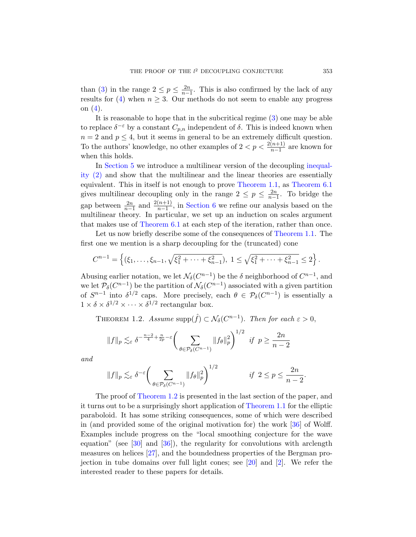than (3) in the range  $2 \le p \le \frac{2n}{n-1}$ . This is also confirmed by the lack of any results for (4) when  $n \geq 3$ . Our methods do [not seem](#page-1-4) to enable any progress on (4).

It is reasonable to hope that in the subcritical regime (3) one may be able to replace  $\delta^{-\varepsilon}$  by a constant  $C_{p,n}$  [indep](#page-1-1)en[dent of](#page-26-0)  $\delta$ . This is indeed known when  $n = 2$  and  $p \leq 4$ , but it seems in general to be an extremely difficult question. To the a[uthors' kno](#page-26-1)wledge, no other examples of  $2 < p < \frac{2(n+1)}{n-1}$  are known for when this holds.

[In](#page-26-0) Section 5 we introduce a multilinear version of the decoupling inequality (2) and show that the multiline[ar and the li](#page-1-1)near theories are essentially equivalent. This in itself is not enough to prove Theorem 1.1, as Theorem 6.1 gives multilinear decoupling only in the range  $2 \le p \le \frac{2n}{n-1}$ . To bridge the gap between  $\frac{2n}{n-1}$  and  $\frac{2(n+1)}{n-1}$ , in Section 6 we refine our analysis based on the multilinear theory. In particular, we set up an induction on scales argument that makes use of Theorem 6.1 at each step of the iteration, rather than once.

Let us now briefly describe some of the consequences of Theorem 1.1. The first one we mention is a sharp decoupling for the (truncated) cone

$$
C^{n-1} = \left\{ (\xi_1, \ldots, \xi_{n-1}, \sqrt{\xi_1^2 + \cdots + \xi_{n-1}^2}), \ 1 \leq \sqrt{\xi_1^2 + \cdots + \xi_{n-1}^2} \leq 2 \right\}.
$$

Abusing earlier notation, we let  $\mathcal{N}_{\delta}(C^{n-1})$  be the  $\delta$  neighborhood of  $C^{n-1}$ , and we let  $\mathcal{P}_{\delta}(C^{n-1})$  be the partition of  $\mathcal{N}_{\delta}(C^{n-1})$  associated with a given partition of  $S^{n-1}$  into  $\delta^{1/2}$  caps. More precisely, each  $\theta \in \mathcal{P}_{\delta}(C^{n-1})$  is essentially a  $1 \times \delta \times \delta^{1/2} \times \cdots \times \delta^{1/2}$  rectangular box.

THEOREM 1.2. Assume  $\text{supp}(\hat{f}) \subset \mathcal{N}_{\delta}(C^{n-1})$ . Then for each  $\varepsilon > 0$ ,

$$
||f||_p \lesssim_{\varepsilon} \delta^{-\frac{n-2}{4} + \frac{n}{2p} - \varepsilon} \bigg( \sum_{\theta \in \mathcal{P}_\delta(C^{n-1})} ||f_\theta||_p^2 \bigg)^{1/2} \quad \text{if} \quad p \ge \frac{2n}{n-2}
$$

and

$$
||f||_p \lesssim_{\varepsilon} \delta^{-\varepsilon} \bigg( \sum_{\theta \in \mathcal{P}_\delta(C^{n-1})} ||f_\theta||_p^2 \bigg)^{1/2} \qquad \text{if } 2 \le p \le \frac{2n}{n-2}.
$$

The proof of Theorem 1.2 is presented in the last section of the paper, and it turns out to be a surprisin[gly](#page-37-3) short [ap](#page-36-1)plication of Theorem 1.1 for the elliptic paraboloid. It has some striking consequences, some of which were described in (and provided some of the original motivation for) the work [36] of Wolff. Examples include progress on the "local smoothing conjecture for the wave equation" (see [30] and [36]), the regularity for convolutions with arclength measures on helices [27], and the boundedness properties of the Bergman projection in tube domains over full light cones; see [20] and [2]. We refer the interested reader to these papers for details.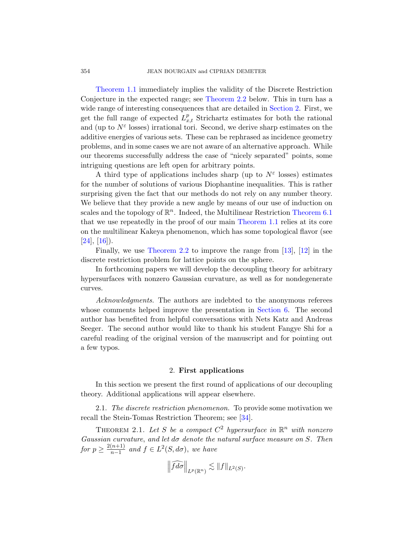Theorem 1.1 immediately implies the validity of the Discrete Restriction Conjecture in the expected range; see Theorem 2.2 below. This in turn has a wide range of interesting consequences that are detailed in Section 2. First, we get the full range of expected  $L_{x,t}^p$  Strichartz estimates for both the rational and (up to  $N^{\varepsilon}$  losses) irrational tori. Second, we derive sharp estimates on the additive energies of various sets. These can be rephrased as incidence geometry problems, and in some cases we are not aware of an alternative approach. While our theorems successfully address the cas[e of "nicely se](#page-26-0)parated" points, some intriguing questions are l[eft open for a](#page-1-1)rbitrary points.

A third type of applications includes sharp (up to  $N^{\varepsilon}$  losses) estimates for the number of solutions of various Diophantine inequalities. This is rather [surprising](#page-4-0) given the fact that our meth[ods](#page-37-4) d[o n](#page-36-2)ot rely on any number theory. We believe that they provide a new angle by means of our use of induction on scales and the topology of  $\mathbb{R}^n$ . Indeed, the Multilinear Restriction Theorem 6.1 that we use repeatedly in the proof of our main Theorem 1.1 relies at its core on the multilinear Kakeya phenomenon, which has some topological flavor (see  $[24]$ ,  $[16]$ ).

Finally, we use Theorem 2.2 [to impr](#page-26-1)ove the range from [13], [12] in the discrete restriction problem for lattice points on the sphere.

In forthcoming papers we will develop the decoupling theory for arbitrary hypersurfaces with nonzero Gaussian curvature, as well as for nondegenerate curves.

Acknowledgments. The authors are indebted to the anonymous referees whose comments helped improve the presentation in Section 6. The second author has benefited from helpful conversations with Nets Katz and Andreas Seeger. The second author would like to thank his student Fangye Shi for a careful reading of the original version of the manuscript and for pointing out a few typos.

#### 2. First applications

In this section we present the first round of applications of our decoupling theory. Additional applications will appear elsewhere.

2.1. The discrete restriction phenomenon. To provide some motivation we recall the Stein-Tomas Restriction Theorem; see [34].

THEOREM 2.1. Let S be a compact  $C^2$  hypersurface in  $\mathbb{R}^n$  with nonzero Gaussian curvature, and let  $d\sigma$  denote the natural surface measure on S. Then for  $p \geq \frac{2(n+1)}{n-1}$  $\frac{(n+1)}{n-1}$  and  $f \in L^2(S, d\sigma)$ , we have

$$
\left\|\widehat{fd\sigma}\right\|_{L^p(\mathbb{R}^n)} \lesssim \|f\|_{L^2(S)}.
$$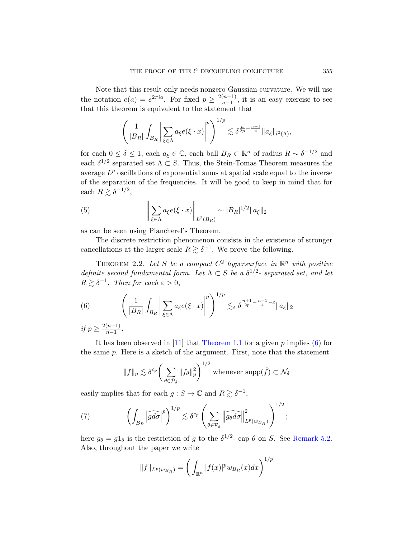Note that this result only needs nonzero Gaussian curvature. We will use the notation  $e(a) = e^{2\pi i a}$ . For fixed  $p \geq \frac{2(n+1)}{n-1}$  $\frac{(n+1)}{n-1}$ , it is an easy exercise to see that this theorem is equivalent to the statement that

$$
\left(\frac{1}{|B_R|}\int_{B_R}\left|\sum_{\xi\in\Lambda}a_{\xi}e(\xi\cdot x)\right|^p\right)^{1/p}\lesssim \delta^{\frac{n}{2p}-\frac{n-1}{4}}\|a_{\xi}\|_{l^2(\Lambda)},
$$

for each  $0 \le \delta \le 1$ , each  $a_{\xi} \in \mathbb{C}$ , each ball  $B_R \subset \mathbb{R}^n$  of radius  $R \sim \delta^{-1/2}$  and each  $\delta^{1/2}$  separated set  $\Lambda \subset S$ . Thus, the Stein-Tomas Theorem measures the average  $L^p$  oscillations of exponential sums at spatial scale equal to the inverse of the separation of the frequencies. It will be good to keep in mind that for each  $R \gtrsim \delta^{-1/2}$ ,

<span id="page-4-0"></span>(5) 
$$
\left\| \sum_{\xi \in \Lambda} a_{\xi} e(\xi \cdot x) \right\|_{L^2(B_R)} \sim |B_R|^{1/2} \|a_{\xi}\|_2
$$

as can be seen using Plancherel's Theorem.

<span id="page-4-2"></span>The discrete restriction phenomenon consists in the existence of stronger cancellations at the larger scale  $R \gtrsim \delta^{-1}$ . We prove the following.

THEOREM 2.2. Let S be a compact  $C^2$  hypersurface in  $\mathbb{R}^n$  with positive definite second fundamental form. Let  $\Lambda \subset S$  be a  $\delta^{1/2}$ - separated set, and let  $R \gtrsim \delta^{-1}$ . The[n for each](#page-1-1)  $\varepsilon > 0$ ,

(6) 
$$
\left(\frac{1}{|B_R|}\int_{B_R}\left|\sum_{\xi\in\Lambda}a_{\xi}e(\xi\cdot x)\right|^p\right)^{1/p}\lesssim_{\varepsilon} \delta^{\frac{n+1}{2p}-\frac{n-1}{4}-\varepsilon}\|a_{\xi}\|_2
$$

if  $p \geq \frac{2(n+1)}{n-1}$  $\frac{(n+1)}{n-1}$ .

<span id="page-4-1"></span>It has been observed in [11] that Theorem 1.1 for a given  $p$  implies (6) for the same p. Here is a sketch of the argument. First, note that the statement

$$
||f||_p \lesssim \delta^{c_p} \bigg( \sum_{\theta \in \mathcal{P}_{\delta}} ||f_{\theta}||_p^2 \bigg)^{1/2}
$$
 whenever  $\text{supp}(\hat{f}) \subset \mathcal{N}_{\delta}$ 

easily implies that for each  $g : S \to \mathbb{C}$  and  $R \gtrsim \delta^{-1}$ ,

(7) 
$$
\left(\int_{B_R} \left|\widehat{gd\sigma}\right|^p\right)^{1/p} \lesssim \delta^{c_p} \left(\sum_{\theta \in \mathcal{P}_{\delta}} \left\|\widehat{g_{\theta}d\sigma}\right\|_{L^p(w_{B_R})}^2\right)^{1/2};
$$

here  $g_{\theta} = g_{\theta}$  is the restriction of g to the  $\delta^{1/2}$ - cap  $\theta$  on S. See Remark 5.2. Also, throughout the paper we write

$$
||f||_{L^{p}(w_{B_R})} = \left(\int_{\mathbb{R}^n} |f(x)|^p w_{B_R}(x) dx\right)^{1/p}
$$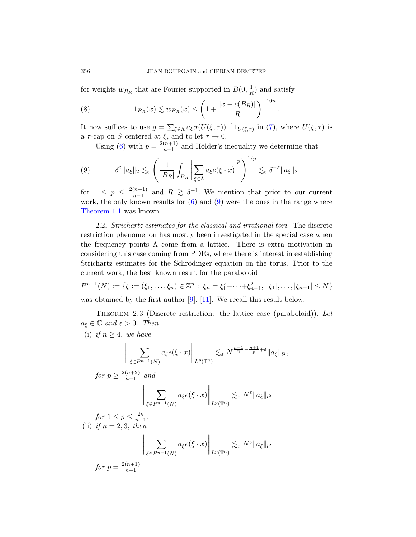for weights  $w_{B_R}$  that are Fourier supported in  $B(0, \frac{1}{R})$  $\frac{1}{R}$ ) and satisfy

<span id="page-5-0"></span>(8) 
$$
1_{B_R}(x) \lesssim w_{B_R}(x) \le \left(1 + \frac{|x - c(B_R)|}{R}\right)^{-10n}
$$

It now suffices to use  $g = \sum_{\xi \in \Lambda} a_{\xi} \sigma(U(\xi, \tau))^{-1} 1_{U(\xi, \tau)}$  in (7), where  $U(\xi, \tau)$  is a  $\tau$ -cap on S cent[ere](#page-5-0)d at  $\xi$ , and to let  $\tau \to 0$ .

.

Using [\(6](#page-4-2)) with  $p = \frac{2(n+1)}{n-1}$  $\frac{(n+1)}{n-1}$  and Hölder's inequality we determine that

(9) 
$$
\delta^{\varepsilon} \|a_{\xi}\|_{2} \lesssim_{\varepsilon} \left( \frac{1}{|B_{R}|} \int_{B_{R}} \left| \sum_{\xi \in \Lambda} a_{\xi} e(\xi \cdot x) \right|^{p} \right)^{1/p} \lesssim_{\varepsilon} \delta^{-\varepsilon} \|a_{\xi}\|_{2}
$$

for  $1 \leq p \leq \frac{2(n+1)}{n-1}$  $\frac{(n+1)}{n-1}$  and  $R \geq \delta^{-1}$ . We mention that prior to our current work, the only known results for  $(6)$  and  $(9)$  were the ones in the range where Theorem 1.1 was known.

<span id="page-5-1"></span>2.2. Strichartz estimates for the classical and irrational tori. The discrete restriction phenomenon has mostly been investigated in the special case when the frequ[enc](#page-36-4)y [po](#page-36-3)ints  $\Lambda$  come from a lattice. There is extra motivation in considering this case coming from PDEs, where there is interest in establishing Strichartz estimates for the Schrödinger equation on the torus. Prior to the current work, the best known result for the paraboloid

$$
P^{n-1}(N) := \{ \xi := (\xi_1, \dots, \xi_n) \in \mathbb{Z}^n : \xi_n = \xi_1^2 + \dots + \xi_{n-1}^2, \ |\xi_1|, \dots, |\xi_{n-1}| \le N \}
$$
  
was obtained by the first author [9], [11]. We recall this result below.

THEOREM 2.3 (Discrete restriction: the lattice case (paraboloid)). Let  $a_{\xi} \in \mathbb{C}$  and  $\varepsilon > 0$ . Then

(i) if  $n \geq 4$ , we have

$$
\left\| \sum_{\xi \in P^{n-1}(N)} a_{\xi} e(\xi \cdot x) \right\|_{L^p(\mathbb{T}^n)} \lesssim_{\varepsilon} N^{\frac{n-1}{2} - \frac{n+1}{p} + \varepsilon} \|a_{\xi}\|_{l^2},
$$
\n
$$
\text{for } p \ge \frac{2(n+2)}{n-1} \text{ and}
$$
\n
$$
\left\| \sum_{\xi \in P^{n-1}(N)} a_{\xi} e(\xi \cdot x) \right\|_{L^p(\mathbb{T}^n)} \lesssim_{\varepsilon} N^{\varepsilon} \|a_{\xi}\|_{l^2}
$$
\n
$$
\text{for } 1 \le p \le \frac{2n}{n-1};
$$
\n
$$
\left\| \sum_{\xi \in P^{n-1}(N)} a_{\xi} e(\xi \cdot x) \right\|_{L^p(\mathbb{T}^n)} \lesssim_{\varepsilon} N^{\varepsilon} \|a_{\xi}\|_{l^2}
$$

for 
$$
p = \frac{2(n+1)}{n-1}
$$
.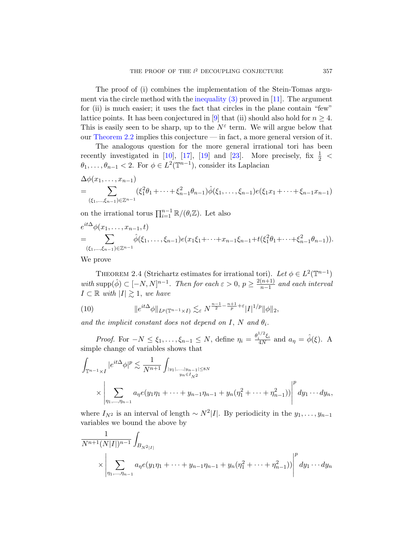The proof of (i) combines the implementation of the Stein-Tomas argum[ent](#page-36-5) vi[a th](#page-37-5)e [circl](#page-37-6)e meth[od](#page-37-7) with the inequality  $(3)$  proved in [11]. The argument for (ii) is much easier; it uses the fact that circles in the plane contain "few" lattice points. It has been conjectured in [9] that (ii) should also hold for  $n \geq 4$ . This is easily seen to be sharp, up to the  $N^{\varepsilon}$  term. We will argue below that our Theorem 2.2 implies this conjecture — in fact, a more general version of it.

The analogous question for the more general irrational tori has been recently investigated in [10], [17], [19] and [23]. More precisely, fix  $\frac{1}{2}$  <  $\theta_1, \ldots, \theta_{n-1} < 2$ . For  $\phi \in L^2(\mathbb{T}^{n-1})$ , consider its Laplacian

$$
\Delta \phi(x_1, \ldots, x_{n-1})
$$
\n
$$
= \sum_{(\xi_1, \ldots, \xi_{n-1}) \in \mathbb{Z}^{n-1}} (\xi_1^2 \theta_1 + \cdots + \xi_{n-1}^2 \theta_{n-1}) \hat{\phi}(\xi_1, \ldots, \xi_{n-1}) e(\xi_1 x_1 + \cdots + \xi_{n-1} x_{n-1})
$$

<span id="page-6-0"></span>on the irrational torus  $\prod_{i=1}^{n-1} \mathbb{R}/(\theta_i \mathbb{Z})$ . Let also

$$
e^{it\Delta}\phi(x_1,\ldots,x_{n-1},t)
$$
  
= 
$$
\sum_{(\xi_1,\ldots,\xi_{n-1})\in\mathbb{Z}^{n-1}} \hat{\phi}(\xi_1,\ldots,\xi_{n-1})e(x_1\xi_1+\cdots+x_{n-1}\xi_{n-1}+t(\xi_1^2\theta_1+\cdots+\xi_{n-1}^2\theta_{n-1})).
$$

<span id="page-6-1"></span>We prove

 $\mathbf{r}$ 

THEOREM 2.4 (Strichartz estimates for irrational tori). Let  $\phi \in L^2(\mathbb{T}^{n-1})$ with supp $(\hat{\phi}) \subset [-N, N]^{n-1}$ . Then for each  $\varepsilon > 0$ ,  $p \geq \frac{2(n+1)}{n-1}$  $\frac{(n+1)}{n-1}$  and each interval  $I \subset \mathbb{R}$  with  $|I| \gtrsim 1$ , we have

(10) 
$$
\|e^{it\Delta}\phi\|_{L^p(\mathbb{T}^{n-1}\times I)} \lesssim_{\varepsilon} N^{\frac{n-1}{2}-\frac{n+1}{p}+\varepsilon}|I|^{1/p}\|\phi\|_2,
$$

and the implicit constant does not depend on I, N and  $\theta_i$ .

*Proof.* For  $-N \leq \xi_1, \ldots, \xi_{n-1} \leq N$ , define  $\eta_i = \frac{\theta_i^{1/2} \xi_i}{4N}$  $\frac{a_1^{\prime\prime}a_2^{\prime}}{4N}$  and  $a_{\eta} = \hat{\phi}(\xi)$ . A simple change of variables shows that

$$
\int_{\mathbb{T}^{n-1}\times I} |e^{it\Delta}\phi|^p \lesssim \frac{1}{N^{n+1}} \int_{|y_1|,\dots,|y_{n-1}|\leq 8N} \times \left|\sum_{\eta_1,\dots,\eta_{n-1}} a_{\eta} e(y_1 \eta_1 + \dots + y_{n-1} \eta_{n-1} + y_n(\eta_1^2 + \dots + \eta_{n-1}^2))\right|^p dy_1 \cdots dy_n,
$$

where  $I_{N^2}$  is an interval of length  $\sim N^2|I|$ . By periodicity in the  $y_1, \ldots, y_{n-1}$ variables we bound the above by

$$
\frac{1}{N^{n+1}(N|I|)^{n-1}} \int_{B_{N^2|I|}} \times \left| \sum_{\eta_1, \dots, \eta_{n-1}} a_{\eta} e(y_1 \eta_1 + \dots + y_{n-1} \eta_{n-1} + y_n(\eta_1^2 + \dots + \eta_{n-1}^2)) \right|^p dy_1 \cdots dy_n
$$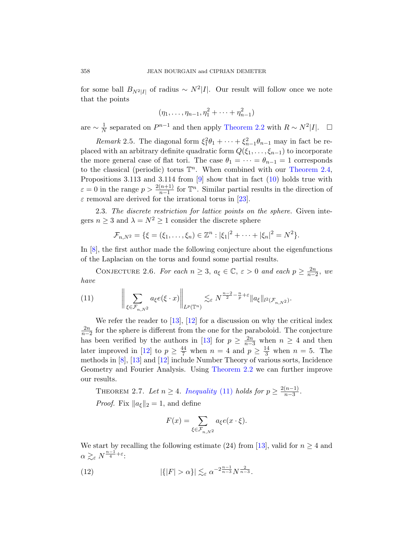for some ball  $B_{N^2|I|}$  of radius ~  $N^2|I|$ . Our result will follow once we note that the points

$$
(\eta_1, \ldots, \eta_{n-1}, \eta_1^2 + \cdots + \eta_{n-1}^2)
$$

are  $\sim \frac{1}{N}$  $\frac{1}{N}$  separated on  $P^{n-1}$  and t[hen](#page-6-1) apply Theorem 2.2 with  $R \sim N^2|I|$ . □

Remark 2.5. The di[agon](#page-37-7)al form  $\xi_1^2\theta_1 + \cdots + \xi_{n-1}^2\theta_{n-1}$  may in fact be replaced with an arbitrary definite quadratic form  $Q(\xi_1, \ldots, \xi_{n-1})$  to incorporate the more general case of flat tori. The case  $\theta_1 = \cdots = \theta_{n-1} = 1$  corresponds to the classical (periodic) torus  $\mathbb{T}^n$ . When combined with our Theorem 2.4, Propositions 3.113 and 3.114 from  $[9]$  show that in fact  $(10)$  holds true with  $\varepsilon = 0$  in the range  $p > \frac{2(n+1)}{n-1}$  for  $\mathbb{T}^n$ . Similar partial results in the direction of  $\varepsilon$  removal are derived for the irrational torus in [23].

2.3. The discrete restriction for lattice points on the sphere. Given integers  $n \geq 3$  and  $\lambda = N^2 \geq 1$  consider the discrete sphere

$$
\mathcal{F}_{n,N^2} = \{ \xi = (\xi_1, \ldots, \xi_n) \in \mathbb{Z}^n : |\xi_1|^2 + \cdots + |\xi_n|^2 = N^2 \}.
$$

<span id="page-7-0"></span>In [8], the first author made the following conjecture about the eigenfunctions of th[e L](#page-37-4)a[plac](#page-36-2)ian on the torus and found some partial results.

CONJECTURE 2.6. For each  $n \geq 3$ ,  $a_{\xi} \in \mathbb{C}$ ,  $\varepsilon > 0$  and each  $p \geq \frac{2n}{n-2}$ , we have

(11) 
$$
\left\| \sum_{\xi \in \mathcal{F}_{n,N^2}} a_{\xi} e(\xi \cdot x) \right\|_{L^p(\mathbb{T}^n)} \lesssim_{\varepsilon} N^{\frac{n-2}{2} - \frac{n}{p} + \varepsilon} \|a_{\xi}\|_{l^2(\mathcal{F}_{n,N^2})}.
$$

We refer the reader to  $[13]$ ,  $[12]$  for a discussion on why the critical index  $\frac{2n}{n-2}$  for t[he sphere is diff](#page-7-0)erent from the one for the paraboloid. The conjecture has been verified by the authors in [13] for  $p \geq \frac{2n}{n-3}$  when  $n \geq 4$  and then later improved in [12] to  $p \geq \frac{44}{7}$  when  $n = 4$  and  $p \geq \frac{14}{3}$  when  $n = 5$ . The methods in [8], [13] and [12] include Number Theory of various sorts, Incidence Geometry and Fourier Analysis. Using Theorem 2.2 we can further improve our results.

<span id="page-7-1"></span>THEOREM 2.7. Let  $n \geq 4$ . [In](#page-37-4)equality (11) holds for  $p \geq \frac{2(n-1)}{n-3}$  $\frac{(n-1)}{n-3}$ . *Proof.* Fix  $||a_{\xi}||_2 = 1$ , and define

$$
F(x) = \sum_{\xi \in \mathcal{F}_{n,N^2}} a_{\xi} e(x \cdot \xi).
$$

We start by recalling the following estimate (24) from [13], valid for  $n \geq 4$  and  $\alpha \gtrsim_\varepsilon N^{\frac{n-1}{4}+\varepsilon}$ :

(12) 
$$
|\{|F| > \alpha\}| \lesssim_{\varepsilon} \alpha^{-2\frac{n-1}{n-3}} N^{\frac{2}{n-3}}.
$$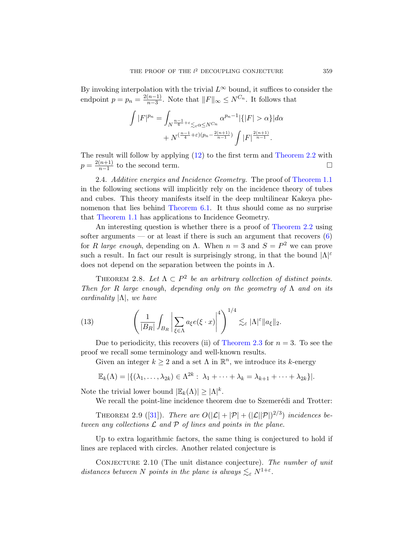By invoking interpolation with the trivial  $L^{\infty}$  bound, it suffices to consider the endpoint  $p = p_n = \frac{2(n-1)}{n-3}$  $p = p_n = \frac{2(n-1)}{n-3}$  $p = p_n = \frac{2(n-1)}{n-3}$  $\frac{(n-1)}{n-3}$ . [N](#page-4-0)ote that  $||F||_{\infty} \leq N^{C_n}$ . It follows that

$$
\int |F|^{p_n} = \int_{N^{\frac{n-1}{4}+\varepsilon} \leq \varepsilon \alpha \leq N^{C_n}} \alpha^{p_n-1} |\{|F| > \alpha\}| d\alpha + N^{(\frac{n-1}{4}+\varepsilon)(p_n-\frac{2(n+1)}{n-1})} \int |F|^{\frac{2(n+1)}{n-1}}.
$$

Th[e result will fo](#page-26-0)llow by applying (12) to the first term and Theorem 2.2 with  $p = \frac{2(n+1)}{n-1}$  $\frac{(n+1)}{n-1}$  to the second term.

2.4. Additive energies and Incidence Geometry. [T](#page-4-2)he proof of Theorem 1.1 in the following sections will implicitly rely on the incidence theory of tubes and cubes. This theory manifests itself in the deep multilinear Kakeya phenomenon that lies behind Theorem 6.1. It thus should come as no surprise that Theorem 1.1 has applications to Incidence Geometry.

<span id="page-8-0"></span>An interesting question is whether there is a proof of Theorem 2.2 using softer arguments — or at least if there is such an argument that recovers  $(6)$ for R large enough, depending on  $\Lambda$ . When  $n=3$  and  $S=P^2$  we can prove such a result. In fact our result is surprisingly strong, in that the bound  $|\Lambda|^{\varepsilon}$ does not depend on the separation between the points in  $\Lambda$ .

THEOREM 2.8. Let  $\Lambda \subset P^2$  be an arbitrary collection of distinct points. Then for R large e[nough](#page-5-1), depending only on the geometry of  $\Lambda$  and on its cardinality  $|\Lambda|$ , we have

(13) 
$$
\left(\frac{1}{|B_R|}\int_{B_R}\left|\sum_{\xi\in\Lambda}a_{\xi}e(\xi\cdot x)\right|^4\right)^{1/4}\lesssim_{\varepsilon}|\Lambda|^{\varepsilon}\|a_{\xi}\|_2.
$$

Due to periodicity, this recovers (ii) of Theorem 2.3 for  $n = 3$ . To see the [p](#page-38-1)roof we recall some terminology and well-known results.

Given an integer  $k \geq 2$  and a set  $\Lambda$  in  $\mathbb{R}^n$ , we introduce its k-energy

$$
\mathbb{E}_k(\Lambda)=|\{(\lambda_1,\ldots,\lambda_{2k})\in\Lambda^{2k}:\ \lambda_1+\cdots+\lambda_k=\lambda_{k+1}+\cdots+\lambda_{2k}\}|.
$$

Note the trivial lower bound  $|\mathbb{E}_k(\Lambda)| \geq |\Lambda|^k$ .

We recall the point-line incidence theorem due to Szemerédi and Trotter:

THEOREM 2.9 ([31]). There are  $O(|\mathcal{L}| + |\mathcal{P}| + (|\mathcal{L}||\mathcal{P}|)^{2/3})$  incidences between any collections  $\mathcal L$  and  $\mathcal P$  of lines and points in the plane.

Up to extra logarithmic factors, the same thing is conjectured to hold if lines are replaced with circles. Another related conjecture is

CONJECTURE 2.10 (The unit distance conjecture). The number of unit distances between N points in the plane is always  $\lesssim_{\varepsilon} N^{1+\varepsilon}$ .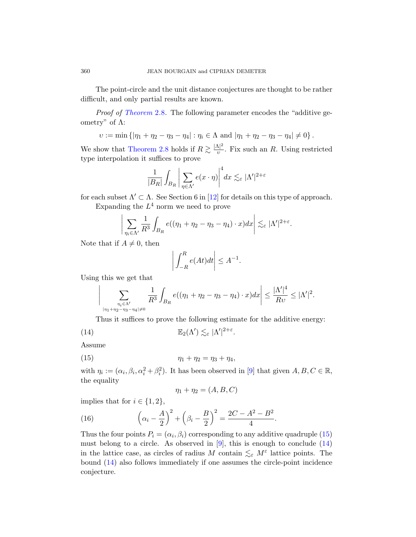The point-circle and the unit distance conjectures are thought to be rather difficult, and only partial results are known.

Proof of Theorem 2.8. The following parameter encodes the "additive geometry" of  $Λ$ :

 $v := \min \{ |\eta_1 + \eta_2 - \eta_3 - \eta_4| : \eta_i \in \Lambda \text{ and } |\eta_1 + \eta_2 - \eta_3 - \eta_4| \neq 0 \}.$ 

We show that Theorem 2.8 holds if  $R \gtrsim \frac{|\Lambda|^2}{n}$  $\frac{\Delta \Gamma}{v}$ . Fix such an R. Using restricted type interpolation it suffices to prove

$$
\frac{1}{|B_R|} \int_{B_R} \bigg| \sum_{\eta \in \Lambda'} e(x \cdot \eta) \bigg|^4 dx \lesssim_{\varepsilon} |\Lambda'|^{2+\varepsilon}
$$

for each subset  $\Lambda' \subset \Lambda$ . See Section 6 in [12] for details on this type of approach.

Expanding the  $L^4$  norm we need to prove

$$
\left|\sum_{\eta_i \in \Lambda'} \frac{1}{R^3} \int_{B_R} e((\eta_1 + \eta_2 - \eta_3 - \eta_4) \cdot x) dx \right| \lesssim_{\varepsilon} |\Lambda'|^{2+\varepsilon}.
$$

Note that if  $A \neq 0$ , then

$$
\left| \int_{-R}^{R} e(At)dt \right| \leq A^{-1}.
$$

Using this we get that

<span id="page-9-0"></span>
$$
\bigg|\sum_{\substack{\eta_i \in \Lambda' \\ |\eta_1 + \eta_2 - \eta_3 - \eta_4 | \neq 0}} \frac{1}{R^3} \int_{B_R} e((\eta_1 + \eta_2 - \eta_3 - \eta_4) \cdot x) dx \bigg| \le \frac{|\Lambda'|^4}{Rv} \le |\Lambda'|^2.
$$

Thus it suffices to prove the following estimate for the additive energy:

.

(14) 
$$
\mathbb{E}_2(\Lambda') \lesssim_{\varepsilon} |\Lambda'|^{2+\varepsilon}
$$

Assume

(15) 
$$
\eta_1 + \eta_2 = \eta_3 + \eta_4,
$$

with  $\eta_i := (\alpha_i, \beta_i, \alpha_i^2 + \beta_i^2)$ . It has been observed in [\[9\]](#page-9-0) that given  $A, B, C \in \mathbb{R}$ , the equality

$$
\eta_1 + \eta_2 = (A, B, C)
$$

implies that for  $i \in \{1, 2\},\$ 

(16) 
$$
\left(\alpha_i - \frac{A}{2}\right)^2 + \left(\beta_i - \frac{B}{2}\right)^2 = \frac{2C - A^2 - B^2}{4}.
$$

Thus the four points  $P_i = (\alpha_i, \beta_i)$  corresponding to any additive quadruple (15) must belong to a circle. As observed in  $[9]$ , this is enough to conclude  $(14)$ in the lattice case, as circles of radius M contain  $\lesssim_{\varepsilon} M^{\varepsilon}$  lattice points. The bound (14) also follows immediately if one assumes the circle-point incidence conjecture.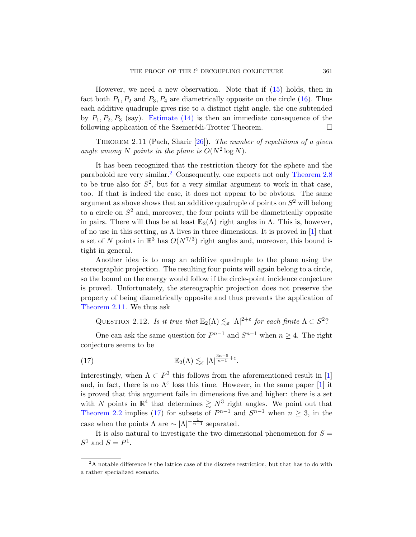However, we need a new observation. Note that if  $(15)$  holds, then in fact both  $P_1, P_2$  and  $P_3, P_4$  are diametrically opposite on the circle (16). Thus each additive quadruple gives rise to a distinct right angle, the one subtended by  $P_1, P_2, P_3$  $P_1, P_2, P_3$  (say). Estimate (14) is the[n an immedia](#page-8-0)te consequence of the following application of the Szemerédi-Trotter Theorem.  $\Box$ 

THEOREM 2.11 (Pach, Sharir  $[26]$ ). The number of repetitions of a given angle among N points in the plane is  $O(N^2 \log N)$ .

It has been recognized that the restriction theory for the sphere and the paraboloid are very similar.<sup>2</sup> Consequently, one [ex](#page-36-6)pects not only Theorem 2.8 to be true also for  $S^2$ , but for a very similar argument to work in that case, too. If that is indeed the case, it does not appear to be obvious. The same argument as above shows that an additive quadruple of points on  $S^2$  will belong to a circle on  $S<sup>2</sup>$  and, moreover, the four points will be diametrically opposite in pairs. There will thus be at least  $\mathbb{E}_2(\Lambda)$  right angles in  $\Lambda$ . This is, however, of no use in this setting, as  $\Lambda$  lives in three dimensions. It is proved in [1] that a set of N points in  $\mathbb{R}^3$  has  $O(N^{7/3})$  right angles and, moreover, this bound is tight in general.

Another idea is to map an additive quadruple to the plane using the stereographic projection. The resulting four points will again belong to a circle, so the bound on the energy would follow if the circle-point incidence conjecture is proved. Unfortunately, the stereographic projection does not preserve the property of being diametrically opposite and thus prevents the application of Theorem 2.11. We thus ask

<span id="page-10-1"></span>QUESTION 2.12. Is it true that  $\mathbb{E}_2(\Lambda) \lesssim_{\varepsilon} |\Lambda|^{2+\varepsilon}$  [f](#page-36-6)or each finite  $\Lambda \subset S^2$ ?

One can ask the same question for  $P^{n-1}$  and  $S^{n-1}$  when  $n \geq 4$ . The right conjecture seems to be

(17) 
$$
\mathbb{E}_2(\Lambda) \lesssim_{\varepsilon} |\Lambda|^{\frac{3n-5}{n-1}+\varepsilon}.
$$

<span id="page-10-0"></span>Interestingly, when  $\Lambda \subset P^3$  this follows from the aforementioned result in [1] and, in fact, there is no  $\Lambda^{\varepsilon}$  loss this time. However, in the same paper [1] it is proved that this argument fails in dimensions five and higher: there is a set with N points in  $\mathbb{R}^4$  that determines  $\geq N^3$  right angles. We point out that Theorem 2.2 implies (17) for subsets of  $P^{n-1}$  and  $S^{n-1}$  when  $n \geq 3$ , in the case when the points  $\Lambda$  are  $\sim |\Lambda|^{-\frac{1}{n-1}}$  separated.

It is also natural to investigate the two dimensional phenomenon for  $S =$  $S^1$  and  $S = P^1$ .

 $2A$  notable difference is the lattice case of the discrete restriction, but that has to do with a rather specialized scenario.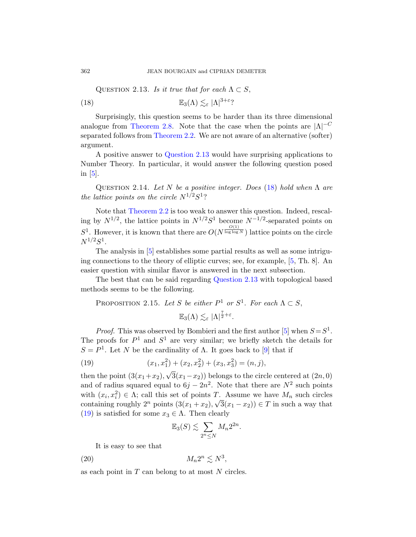QUESTION 2.13. Is it true that for each  $\Lambda \subset S$ , (1[8\)](#page-11-0)  $\mathbb{E}_3(\Lambda) \lesssim_{\varepsilon} |\Lambda|^{3+\varepsilon}$ ?

<span id="page-11-3"></span>Surprisingly, this question seems to be harder than its three dimensional analogue from Theorem 2.8. Not[e t](#page-11-1)hat the case when the points are  $|\Lambda|^{-C}$ separated follows from Theorem 2.2. We are not aware of an alternative (softer) argument.

A positive answer to Question 2.13 would have surprising applications to Number Theory. In particular, it would answer the following question posed in [5].

QUESTION 2.14. Let N be a positive integer. Does (18) hold when  $\Lambda$  are the lattice points on the circle  $N^{1/2}S^1$ ?

Note that Theorem 2.2 is too weak to answer this question. Indeed, rescaling by  $N^{1/2}$ , the [lattice points i](#page-11-0)n  $N^{1/2}S^1$  become  $N^{-1/2}$ -separated points on  $S^1$ . However, it is known that there are  $O(N^{\frac{O(1)}{\log \log N}})$  lattice points on the circle  $N^{1/2}S^1$ .

The analysis in [5] establishes some partial results as well as some intriguing connections to the theory of elliptic curves; see, for example, [5, Th. 8]. An easier question with similar flavor is an[sw](#page-36-7)ered in the next subsection.

<span id="page-11-2"></span>The best that can be said regarding Question 2.13 with topological based methods seems to be the followin[g.](#page-36-4)

PROPOSITION 2.15. Let S be either 
$$
P^1
$$
 or  $S^1$ . For each  $\Lambda \subset S$ ,  

$$
\mathbb{E}_3(\Lambda) \lesssim_{\varepsilon} |\Lambda|^{\frac{7}{2}+\varepsilon}.
$$

*Proof.* This was observed by Bombieri and the first author [5] when  $S = S^1$ . The proofs for  $P^1$  and  $S^1$  are very similar; we briefly sketch the details for  $S = P<sup>1</sup>$ . Let N be the cardinality of  $\Lambda$ . It goes back to [9] that if

(19) 
$$
(x_1, x_1^2) + (x_2, x_2^2) + (x_3, x_3^2) = (n, j),
$$

then the point  $(3(x_1+x_2),$  $3(x_1-x_2)$ ) belongs to the circle centered at  $(2n, 0)$ and of radius squared equal to  $6j - 2n^2$ . Note that there are  $N^2$  such points with  $(x_i, x_i^2) \in \Lambda$ ; call this set of points T. Assume we have  $M_n$  such circles containing roughly  $2^n$  points  $(3(x_1+x_2), \sqrt{3}(x_1-x_2)) \in T$  in such a way that (19) is satisfied for some  $x_3 \in \Lambda$ . Then clearly

$$
\mathbb{E}_3(S) \lesssim \sum_{2^n \le N} M_n 2^{2n}.
$$

It is easy to see that

(20)  $M_n 2^n \lesssim N^3$ ,

as each point in  $T$  can belong to at most  $N$  circles.

<span id="page-11-1"></span><span id="page-11-0"></span>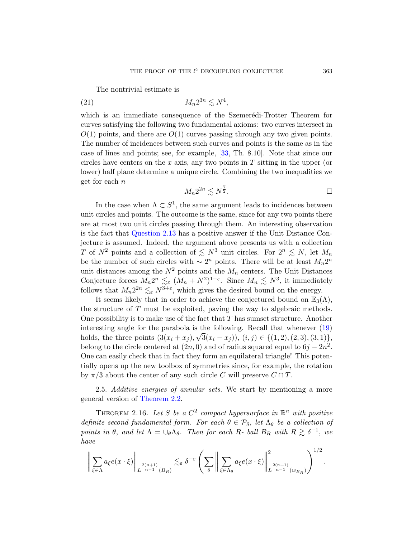The nontrivial [esti](#page-38-2)mate is

$$
(21) \t\t\t M_n 2^{3n} \lesssim N^4,
$$

which is an immediate consequence of the Szemerédi-Trotter Theorem for curves satisfying the following two fundamental axioms: two curves intersect in  $O(1)$  points, and there are  $O(1)$  curves passing through any two given points. The number of incidences between such curves and points is the same as in the case of lines and points; see, for example, [33, Th. 8.10]. Note that since our circles have centers on the x axis, any two points in  $T$  sitting in the upper (or [lower\)](#page-11-0) half plane determine a unique circle. Combining the two inequalities we get for each n

$$
M_n 2^{2n} \lesssim N^{\frac{7}{2}}.
$$

In the case when  $\Lambda \subset S^1$ , the same argument leads to incidences between unit circles and points. The outcome is the same, since for any two points there are at most two unit circles passing through them. An interesting observation is the fact that Question 2.13 has a positive answer if the Unit Distance Conjecture is assumed. Indeed, the argument above presents us with a collection T of  $N^2$  points and a collection of  $\leq N^3$  unit circles. For  $2^n \leq N$ , let  $M_n$ be the number of such circles with  $\sim 2^n$  points. There will be at least  $M_n 2^n$ unit distances among the  $N^2$  points and the  $M_n$  c[ente](#page-11-2)rs. The Unit Distances Conjecture forces  $M_n 2^n \lesssim_{\varepsilon} (M_n + N^2)^{1+\varepsilon}$ . Since  $M_n \lesssim N^3$ , it immediately follows that  $M_n 2^{2n} \lesssim_{\varepsilon} N^{3+\varepsilon}$ , which gives the desired bound on the energy.

It seems likely that in order to achieve the conjectured bound on  $\mathbb{E}_3(\Lambda)$ , the structure of T must be exploited, paving the way to algebraic methods. One possibility is to make use of the fact that  $T$  has sumset structure. Another interesting angle for the parabola is the following. Recall that whenever  $(19)$ [holds, th](#page-4-0)e three points  $(3(x_i + x_j), \sqrt{3(x_i - x_j)}), (i, j) \in \{(1, 2), (2, 3), (3, 1)\},\$ belong to the circle centered at  $(2n, 0)$  and of radius squared equal to  $6j - 2n^2$ . One can easily check that in fact they form an equilateral triangle! This potentially opens up the new toolbox of symmetries since, for example, the rotation by  $\pi/3$  about the center of any such circle C will preserve  $C \cap T$ .

<span id="page-12-0"></span>2.5. Additive energies of annular sets. We start by mentioning a more general version of Theorem 2.2.

THEOREM 2.16. Let S be a  $C^2$  compact hypersurface in  $\mathbb{R}^n$  with positive definite second fundamental form. For each  $\theta \in \mathcal{P}_{\delta}$ , let  $\Lambda_{\theta}$  be a collection of points in  $\theta$ , and let  $\Lambda = \bigcup_{\theta} \Lambda_{\theta}$ . Then for each R- ball  $B_R$  with  $R \gtrsim \delta^{-1}$ , we have

$$
\bigg\|\sum_{\xi\in\Lambda}a_{\xi}e(x\cdot\xi)\bigg\|_{L^{\frac{2(n+1)}{n-1}}(B_R)}\lesssim_{\varepsilon} \delta^{-\varepsilon}\left(\sum_{\theta}\bigg\|\sum_{\xi\in\Lambda_{\theta}}a_{\xi}e(x\cdot\xi)\bigg\|_{L^{\frac{2(n+1)}{n-1}}(w_{B_R})}^2\right)^{1/2}.
$$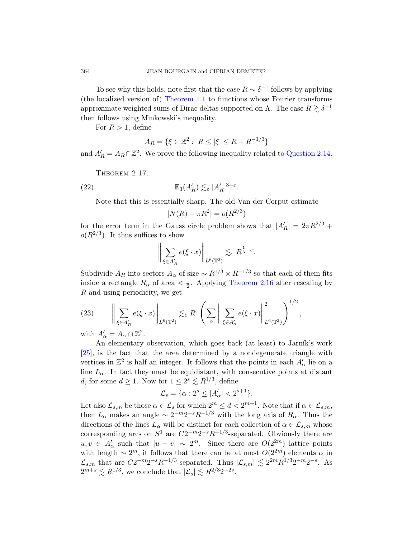To see why this holds, note first that the case  $R \sim \delta^{-1}$  follows by applying (the localized version of) Theorem 1.1 t[o functions wh](#page-11-3)ose Fourier transforms approximate weighted sums of Dirac deltas supported on  $\Lambda$ . The case  $R \gtrsim \delta^{-1}$ then follows using Minkowski's inequality.

<span id="page-13-0"></span>For  $R > 1$ , define

$$
A_R = \{ \xi \in \mathbb{R}^2 : \ R \le |\xi| \le R + R^{-1/3} \}
$$

and  $A'_R = A_R \cap \mathbb{Z}^2$ . We prove the following inequality related to Question 2.14.

THEOREM 2.17.

(22) 
$$
\mathbb{E}_{3}(A'_{R}) \lesssim_{\varepsilon} |A'_{R}|^{3+\varepsilon}.
$$

Note that this is essentially sharp. The old Van der Corput estimate

$$
|N(R) - \pi R^2| = o(R^{2/3})
$$

for the error term in [the Gauss circl](#page-12-0)e problem shows that  $|A'_R| = 2\pi R^{2/3} +$  $o(R^{2/3})$ . It thus suffices to show

$$
\bigg\|\sum_{\xi\in A'_R}e(\xi\cdot x)\bigg\|_{L^6(\mathbb{T}^2)}\lesssim_{\varepsilon} R^{\frac{1}{3}+\varepsilon}.
$$

Subdivide  $A_R$  into sectors  $A_\alpha$  of size  $\sim R^{1/3} \times R^{-1/3}$  so that each of them fits inside a rectangle  $R_{\alpha}$  of area  $\langle \frac{1}{2} \rangle$  $\frac{1}{2}$ . Applying Theorem 2.16 after rescaling by R and using periodicity, we get

(23) 
$$
\left\| \sum_{\xi \in A'_R} e(\xi \cdot x) \right\|_{L^6(\mathbb{T}^2)} \lesssim_{\varepsilon} R^{\varepsilon} \left( \sum_{\alpha} \left\| \sum_{\xi \in A'_\alpha} e(\xi \cdot x) \right\|_{L^6(\mathbb{T}^2)}^2 \right)^{1/2},
$$

with  $A'_\alpha = A_\alpha \cap \mathbb{Z}^2$ .

An elementary observation, which goes back (at least) to Jarník's work [25], is the fact that the area determined by a nondegenerate triangle with vertices in  $\mathbb{Z}^2$  is half an integer. It follows that the points in each  $A'_\alpha$  lie on a line  $L_{\alpha}$ . In fact they must be equidistant, with consecutive points at distant d, for some  $d \geq 1$ . Now for  $1 \leq 2^s \leq R^{1/3}$ , define

$$
\mathcal{L}_s = \{ \alpha : 2^s \le |A'_\alpha| < 2^{s+1} \}.
$$

Let also  $\mathcal{L}_{s,m}$  be those  $\alpha \in \mathcal{L}_s$  for which  $2^m \leq d < 2^{m+1}$ . Note that if  $\alpha \in \mathcal{L}_{s,m}$ , then  $L_{\alpha}$  makes an angle  $\sim 2^{-m}2^{-s}R^{-1/3}$  with the long axis of  $R_{\alpha}$ . Thus the directions of the lines  $L_{\alpha}$  will be distinct for each collection of  $\alpha \in \mathcal{L}_{s,m}$  whose corresponding arcs on  $S^1$  are  $C2^{-m}2^{-s}R^{-1/3}$ -separated. Obviously there are  $u, v \in A'_\alpha$  such that  $|u - v| \sim 2^m$ . Since there are  $O(2^{2m})$  lattice points with length  $\sim 2^m$ , it follows that there can be at most  $O(2^{2m})$  elements  $\alpha$  in  $\mathcal{L}_{s,m}$  that are  $C2^{-m}2^{-s}R^{-1/3}$ -separated. Thus  $|\mathcal{L}_{s,m}| \lesssim 2^{2m}R^{1/3}2^{-m}2^{-s}$ . As  $2^{m+s} \lesssim R^{1/3}$ , we conclude that  $|\mathcal{L}_s| \lesssim R^{2/3} 2^{-2s}$ .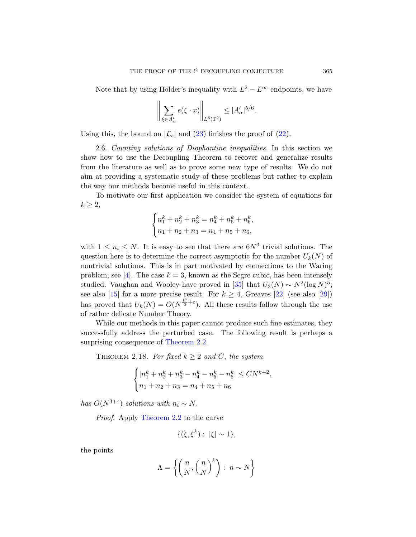Note that by using Hölder's inequality with  $L^2 - L^{\infty}$  endpoints, we have

$$
\bigg\|\sum_{\xi\in A'_\alpha}e(\xi\cdot x)\bigg\|_{L^6(\mathbb{T}^2)}\leq |A'_\alpha|^{5/6}.
$$

Using this, the bound on  $|\mathcal{L}_s|$  and (23) finishes the proof of (22).

2.6. Counting solutions of Diophantine inequalities. In this section we show how to use the Decoupling Theorem to recover and generalize results from the literature as well as to prove some new type of results. We do not aim at providing a systematic study of these problems but rather to explain the way our methods become useful in this context.

To motivate our first application we consider the system of equations for  $k \geq 2$ ,

$$
\begin{cases} n_1^k + n_2^k + n_3^k = n_4^k + n_5^k + n_6^k, \\ n_1 + n_2 + n_3 = n_4 + n_5 + n_6, \end{cases}
$$

with  $1 \leq n_i \leq N$ . It is easy to see that there are  $6N^3$  trivial solutions. The question here is to determine the correct asymptotic for the number  $U_k(N)$  of nontrivial solutions. This is in part motivated by connections to the Waring problem; see [4]. The case  $k = 3$ , known as the Segre cubic, has been intensely st[udied. Vaugha](#page-4-0)n and Wooley have proved in [35] that  $U_3(N) \sim N^2(\log N)^5$ ; see also [15] for a more precise result. For  $k \geq 4$ , Greaves [22] (see also [29]) has proved that  $U_k(N) = O(N^{\frac{17}{6} + \varepsilon})$ . All these results follow through the use of rather delicate Number Theory.

While our methods in this paper cannot produce such fine estimates, they successfully address the perturbed case. The following result is perhaps a surprising consequence of Theorem 2.2.

THEOREM 2.18. For fixed  $k \geq 2$  and C, the system

$$
\begin{cases} |n_1^k + n_2^k + n_3^k - n_4^k - n_5^k - n_6^k| \leq CN^{k-2}, \\ n_1 + n_2 + n_3 = n_4 + n_5 + n_6 \end{cases}
$$

has  $O(N^{3+\varepsilon})$  solutions with  $n_i \sim N$ .

Proof. Apply Theorem 2.2 to the curve

$$
\{(\xi,\xi^k): |\xi| \sim 1\},\
$$

the points

$$
\Lambda = \left\{ \left( \frac{n}{N}, \left( \frac{n}{N} \right)^k \right) : n \sim N \right\}
$$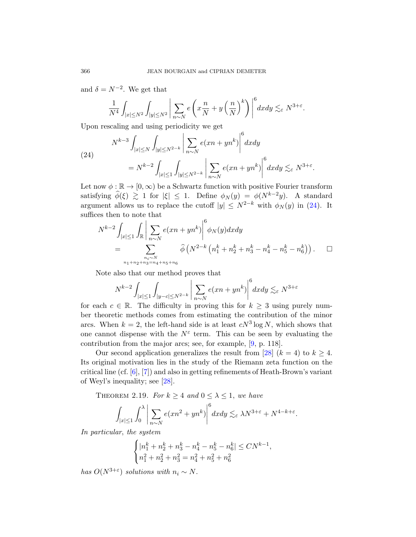<span id="page-15-0"></span>and  $\delta = N^{-2}$ . We get that

$$
\frac{1}{N^4} \int_{|x| \le N^2} \int_{|y| \le N^2} \left| \sum_{n \sim N} e\left(x \frac{n}{N} + y\left(\frac{n}{N}\right)^k\right) \right|^6 dx dy \lesssim_{\varepsilon} N^{3+\varepsilon}.
$$

Upon rescaling and using periodicity we get

(24)  

$$
N^{k-3} \int_{|x| \le N} \int_{|y| \le N^{2-k}} \left| \sum_{n \sim N} e(xn + yn^k) \right|^6 dx dy
$$

$$
= N^{k-2} \int_{|x| \le 1} \int_{|y| \le N^{2-k}} \left| \sum_{n \sim N} e(xn + yn^k) \right|^6 dx dy \lesssim_{\varepsilon} N^{3+\varepsilon}.
$$

Let now  $\phi : \mathbb{R} \to [0, \infty)$  be a Schwartz function with positive Fourier transform satisfying  $\hat{\phi}(\xi) \geq 1$  for  $|\xi| \leq 1$ . Define  $\phi_N(y) = \phi(N^{k-2}y)$ . A standard argument allows us to replace the cutoff  $|y| \leq N^{2-k}$  with  $\phi_N(y)$  in (24). It suffices then to note that

$$
N^{k-2} \int_{|x| \le 1} \int_{\mathbb{R}} \left| \sum_{n \sim N} e(xn + yn^k) \right|^6 \phi_N(y) dx dy
$$
  
= 
$$
\sum_{\substack{n_i \sim N \\ n_1 + n_2 + n_3 = n_4 + n_5 + n_6}} \hat{\phi}\left(N^{2-k} \left(n_1^k + n_2^k + n_3^k - n_4^k - n_5^k - n_6^k\right)\right).
$$

Note also that our method proves that

$$
N^{k-2} \int_{|x| \le 1} \int_{|y-c| \le N^{2-k}} \left| \sum_{n \sim N} e(xn + yn^k) \right|^6 dx dy \lesssim_{\varepsilon} N^{3+\varepsilon}
$$

for each  $c \in \mathbb{R}$ . The difficulty in proving this for  $k \geq 3$  using purely number theoretic methods comes from estimating the contribution of the minor ar[cs.](#page-38-5) When  $k = 2$ , the left-hand side is at least  $cN^3 \log N$ , which shows that one cannot dispense with the  $N^{\varepsilon}$  term. This can be seen by evaluating the contribution from the major arcs; see, for example, [9, p. 118].

Our second application generalizes the result from [28]  $(k = 4)$  to  $k \geq 4$ . Its original motivation lies in the study of the Riemann zeta function on the critical line (cf.  $[6]$ ,  $[7]$ ) and also in getting refinements of Heath-Brown's variant of Weyl's inequality; see [28].

THEOREM 2.19. For  $k \geq 4$  and  $0 \leq \lambda \leq 1$ , we have

$$
\int_{|x|\leq 1} \int_0^{\lambda} \bigg| \sum_{n\sim N} e(xn^2 + yn^k) \bigg|^6 dx dy \lesssim_{\varepsilon} \lambda N^{3+\varepsilon} + N^{4-k+\varepsilon}.
$$

In particular, the system

$$
\begin{cases} |n_1^k + n_2^k + n_3^k - n_4^k - n_5^k - n_6^k| \le CN^{k-1}, \\ n_1^2 + n_2^2 + n_3^2 = n_4^2 + n_5^2 + n_6^2 \end{cases}
$$

has  $O(N^{3+\varepsilon})$  solutions with  $n_i \sim N$ .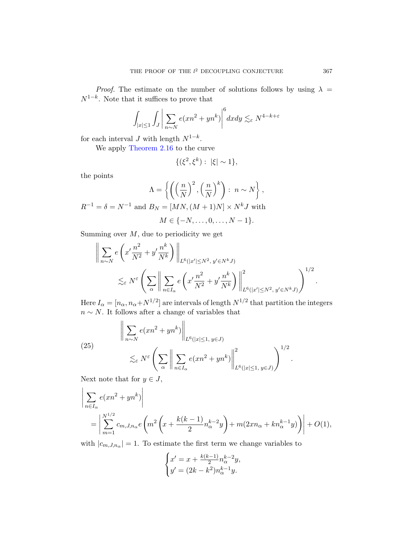*[P](#page-12-0)roof.* The estimate on the number of solutions follows by using  $\lambda =$  $N^{1-k}$ . Note that it suffices to prove that

$$
\int_{|x|\leq 1} \int_{J} \left| \sum_{n\sim N} e(xn^2 + yn^k) \right|^6 dx dy \lesssim_{\varepsilon} N^{4-k+\varepsilon}
$$

for each interval  $J$  with length  $N^{1-k}$ .

We apply Theorem 2.16 to the curve

$$
\{(\xi^2, \xi^k): |\xi| \sim 1\},\
$$

the points

$$
\Lambda = \left\{ \left( \left( \frac{n}{N} \right)^2, \left( \frac{n}{N} \right)^k \right) : n \sim N \right\},\
$$
  

$$
R^{-1} = \delta = N^{-1} \text{ and } B_N = [MN, (M+1)N] \times N^k J \text{ with}
$$

$$
M \in \{-N, \ldots, 0, \ldots, N-1\}.
$$

Summing over  $M$ , due to periodicity we get

$$
\left\| \sum_{n\sim N} e\left(x' \frac{n^2}{N^2} + y' \frac{n^k}{N^k}\right) \right\|_{L^6(|x'|\leq N^2, y'\in N^k J)} \leq \varepsilon N^{\varepsilon} \left( \sum_{\alpha} \left\| \sum_{n\in I_{\alpha}} e\left(x' \frac{n^2}{N^2} + y' \frac{n^k}{N^k}\right) \right\|_{L^6(|x'|\leq N^2, y'\in N^k J)}^2 \right)^{1/2}.
$$

<span id="page-16-0"></span>Here  $I_{\alpha} = [n_{\alpha}, n_{\alpha} + N^{1/2}]$  are intervals of length  $N^{1/2}$  that partition the integers  $n \sim N$ . It follows after a change of variables that

(25)  

$$
\left\| \sum_{n \sim N} e(xn^2 + yn^k) \right\|_{L^6(|x| \le 1, y \in J)}
$$

$$
\lesssim_{\varepsilon} N^{\varepsilon} \left( \sum_{\alpha} \left\| \sum_{n \in I_{\alpha}} e(xn^2 + yn^k) \right\|_{L^6(|x| \le 1, y \in J)}^2 \right)^{1/2}.
$$

Next note that for  $y \in J$ ,

$$
\left| \sum_{n \in I_{\alpha}} e(xn^{2} + yn^{k}) \right|
$$
  
= 
$$
\left| \sum_{m=1}^{N^{1/2}} c_{m,J,n_{\alpha}} e\left( m^{2} \left( x + \frac{k(k-1)}{2} n_{\alpha}^{k-2} y \right) + m(2x n_{\alpha} + k n_{\alpha}^{k-1} y) \right) \right| + O(1),
$$

with  $|c_{m,J,n_\alpha}|=1$ . To estimate the first term we change variables to

$$
\begin{cases} x' = x + \frac{k(k-1)}{2} n_{\alpha}^{k-2} y, \\ y' = (2k - k^2) n_{\alpha}^{k-1} y. \end{cases}
$$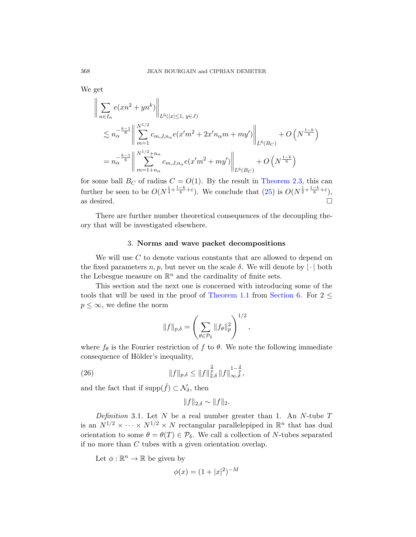We get

$$
\left\| \sum_{n \in I_{\alpha}} e(xn^{2} + yn^{k}) \right\|_{L^{6}(|x| \leq 1, y \in J)} \n\lesssim n_{\alpha}^{-\frac{k-1}{6}} \left\| \sum_{m=1}^{N^{1/2}} c_{m,J,n_{\alpha}} e(x'm^{2} + 2x'n_{\alpha}m + my') \right\|_{L^{6}(B_{C})} + O\left(N^{\frac{1-k}{6}}\right) \n= n_{\alpha}^{-\frac{k-1}{6}} \left\| \sum_{m=1+n_{\alpha}}^{N^{1/2}+n_{\alpha}} c_{m,J,n_{\alpha}} e(x'm^{2} + my') \right\|_{L^{6}(B_{C})} + O\left(N^{\frac{1-k}{6}}\right)
$$

for some ball  $B_C$  of radius  $C = O(1)$ . By the result in Theorem 2.3, this can further be seen to be  $O(N^{\frac{1}{4}+\frac{1-k}{6}+\varepsilon})$ . We conclude that  $(25)$  is  $O(N^{\frac{1}{2}+\frac{1-k}{6}+\varepsilon})$ , as desired.  $\Box$ 

There are further number theoretical consequences of the decoupling theory that will be investigated elsewhere.

#### 3. [Norms and](#page-1-1) wa[ve packet](#page-26-1) decompositions

We will use C to denote various constants that are allowed to depend on the fixed parameters  $n, p$ , but never on the scale  $\delta$ . We will denote by  $|\cdot|$  both the Lebesgue measure on  $\mathbb{R}^n$  and the cardinality of finite sets.

This section and the next one is concerned with introducing some of the tools that will be used in the proof of Theorem 1.1 from Section 6. For  $2 \leq$  $p \leq \infty$ , we define the norm

$$
||f||_{p,\delta} = \left(\sum_{\theta \in \mathcal{P}_{\delta}} ||f_{\theta}||_{p}^{2}\right)^{1/2},
$$

where  $f_{\theta}$  is the Fourier restriction of f to  $\theta$ . We note the following immediate consequence of Hölder's inequality,

(26) 
$$
||f||_{p,\delta} \leq ||f||_{2,\delta}^{\frac{2}{p}} ||f||_{\infty,\delta}^{1-\frac{2}{p}},
$$

and the fact that if supp $(\hat{f}) \subset \mathcal{N}_{\delta}$ , then

$$
||f||_{2,\delta} \sim ||f||_2.
$$

Definition 3.1. Let  $N$  be a real number greater than 1. An  $N$ -tube  $T$ is an  $N^{1/2} \times \cdots \times N^{1/2} \times N$  rectangular parallelepiped in  $\mathbb{R}^n$  that has dual orientation to some  $\theta = \theta(T) \in \mathcal{P}_{\delta}$ . We call a collection of N-tubes separated if no more than C tubes with a given orientation overlap.

Let  $\phi : \mathbb{R}^n \to \mathbb{R}$  be given by

$$
\phi(x) = (1 + |x|^2)^{-M}
$$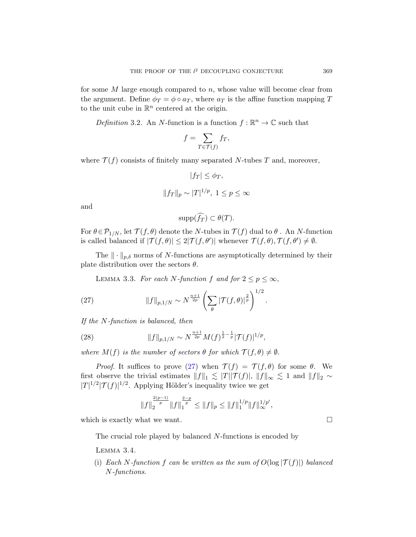for some  $M$  large enough compared to  $n$ , whose value will become clear from the argument. Define  $\phi_T = \phi \circ a_T$ , where  $a_T$  is the affine function mapping T to the unit cube in  $\mathbb{R}^n$  centered at the origin.

Definition 3.2. An N-function is a function  $f : \mathbb{R}^n \to \mathbb{C}$  such that

$$
f = \sum_{T \in \mathcal{T}(f)} f_T,
$$

where  $\mathcal{T}(f)$  consists of finitely many separated N-tubes T and, moreover,

$$
|f_T| \le \phi_T,
$$
  

$$
||f_T||_p \sim |T|^{1/p}, \ 1 \le p \le \infty
$$

and

$$
\mathrm{supp}(\widehat{f_T}) \subset \theta(T).
$$

<span id="page-18-0"></span>For  $\theta \in \mathcal{P}_{1/N}$ , let  $\mathcal{T}(f, \theta)$  denote the N-tubes in  $\mathcal{T}(f)$  dual to  $\theta$ . An N-function is called balanced if  $|\mathcal{T}(f,\theta)| \leq 2|\mathcal{T}(f,\theta')|$  whenever  $\mathcal{T}(f,\theta), \mathcal{T}(f,\theta') \neq \emptyset$ .

The  $\|\cdot\|_{p,\delta}$  norms of N-functions are asymptotically determined by their plate distribution over the sectors  $\theta$ .

LEMMA 3.3. For each N-function f and for  $2 \le p \le \infty$ ,

(27) 
$$
||f||_{p,1/N} \sim N^{\frac{n+1}{2p}} \left( \sum_{\theta} |\mathcal{T}(f,\theta)|^{\frac{2}{p}} \right)^{1/2}.
$$

If the N-function is balanced, then

(28) 
$$
||f||_{p,1/N} \sim N^{\frac{n+1}{2p}} M(f)^{\frac{1}{2} - \frac{1}{p}} |\mathcal{T}(f)|^{1/p},
$$

where  $M(f)$  is the number of sectors  $\theta$  for which  $\mathcal{T}(f, \theta) \neq \emptyset$ .

<span id="page-18-1"></span>*Proof.* It suffices to prove (27) when  $\mathcal{T}(f) = \mathcal{T}(f, \theta)$  for some  $\theta$ . We first observe the trivial estimates  $||f||_1 \lesssim |T||\mathcal{T}(f)|, ||f||_{\infty} \lesssim 1$  and  $||f||_2 \sim$  $|T|^{1/2}|\mathcal{T}(f)|^{1/2}$ . Applying Hölder's inequality twice we get

$$
||f||_2^{\frac{2(p-1)}{p}}||f||_1^{\frac{2-p}{p}} \leq ||f||_p \leq ||f||_1^{1/p}||f||_{\infty}^{1/p'},
$$

which is exactly what we want.  $\Box$ 

The crucial role played by balanced N-functions is encoded by

Lemma 3.4.

(i) Each N-function f can be written as the sum of  $O(\log |\mathcal{T}(f)|)$  balanced N-functions.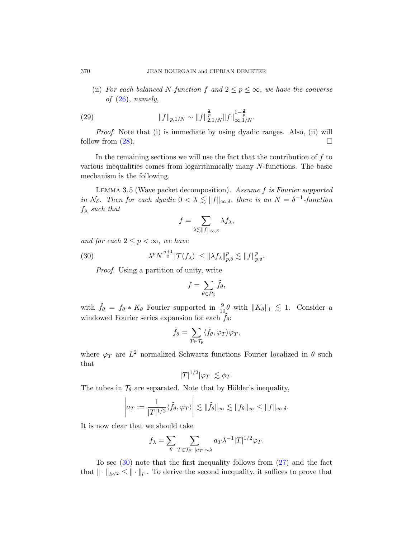(ii) For each balanced N-function f and  $2 \le p \le \infty$ , we have the converse of  $(26)$ , namely,

(29) 
$$
||f||_{p,1/N} \sim ||f||_{2,1/N}^{\frac{2}{p}} ||f||_{\infty,1/N}^{1-\frac{2}{p}}.
$$

Proof. Note that (i) is immediate by using dyadic ranges. Also, (ii) will follow from  $(28)$ .

In the remaining sections we will use the fact that the contribution of  $f$  to various inequalities comes from logarithmically many N-functions. The basic mechanism is the following.

Lemma 3.5 (Wave packet decomposition). Assume f is Fourier supported in  $\mathcal{N}_{\delta}$ . Then for each dyadic  $0 < \lambda \leq ||f||_{\infty,\delta}$ , there is an  $N = \delta^{-1}$ -function  $f_{\lambda}$  such that

$$
f = \sum_{\lambda \lesssim ||f||_{\infty,\delta}} \lambda f_{\lambda},
$$

and for each  $2 \leq p < \infty$ , we have

(30) 
$$
\lambda^p N^{\frac{n+1}{2}} |\mathcal{T}(f_\lambda)| \leq ||\lambda f_\lambda||_{p,\delta}^p \lesssim ||f||_{p,\delta}^p.
$$

Proof. Using a partition of unity, write

$$
f = \sum_{\theta \in \mathcal{P}_{\delta}} \tilde{f}_{\theta},
$$

with  $\tilde{f}_{\theta} = f_{\theta} * K_{\theta}$  Fourier supported in  $\frac{9}{10}\theta$  with  $||K_{\theta}||_1 \lesssim 1$ . Consider a windowed Fourier series expansion for each  $\tilde{f}_{\theta}$ :

$$
\tilde{f}_{\theta} = \sum_{T \in \mathcal{T}_{\theta}} \langle \tilde{f}_{\theta}, \varphi_T \rangle \varphi_T,
$$

where  $\varphi_T$  are  $L^2$  normalized Schwartz functions Fourier localized in  $\theta$  such that

$$
|T|^{1/2}|\varphi_T| \lesssim \phi_T.
$$

The tubes in  $\mathcal{T}_{\theta}$  are separated. Note that by Hölder's inequality,

$$
\left| a_T := \frac{1}{|T|^{1/2}} \langle \tilde{f}_{\theta}, \varphi_T \rangle \right| \lesssim \| \tilde{f}_{\theta} \|_{\infty} \lesssim \| f_{\theta} \|_{\infty} \leq \| f \|_{\infty, \delta}.
$$

It is now clear that we should take

$$
f_{\lambda} = \sum_{\theta} \sum_{T \in \mathcal{T}_{\theta}: |a_{T}| \sim \lambda} a_{T} \lambda^{-1} |T|^{1/2} \varphi_{T}.
$$

To see  $(30)$  note that the first inequality follows from  $(27)$  and the fact that  $\|\cdot\|_{l^{p/2}} \leq \|\cdot\|_{l^1}$ . To derive the second inequality, it suffices to prove that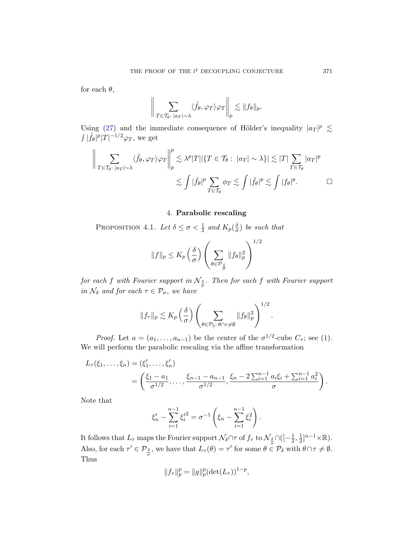for each  $\theta$ ,

$$
\bigg\|\sum_{T\in\mathcal{T}_{\theta}: \; |a_T|\sim \lambda} \langle \tilde{f}_{\theta}, \varphi_T \rangle \varphi_T \bigg\|_p \lesssim \|f_{\theta}\|_p.
$$

<span id="page-20-0"></span>Using (27) and the immediate consequence of Hölder's inequality  $|a_T|^p \lesssim$  $\int |\tilde{f}_{\theta}|^p |T|^{-1/2} \varphi_T$ , we get

$$
\left\| \sum_{T \in \mathcal{T}_{\theta}: |a_{T}| \sim \lambda} \langle \tilde{f}_{\theta}, \varphi_{T} \rangle \varphi_{T} \right\|_{p}^{p} \lesssim \lambda^{p} |T| |\{T \in \mathcal{T}_{\theta}: |a_{T}| \sim \lambda\}| \lesssim |T| \sum_{T \in \mathcal{T}_{\theta}} |a_{T}|^{p}
$$
  

$$
\lesssim \int |\tilde{f}_{\theta}|^{p} \sum_{T \in \mathcal{T}_{\theta}} \phi_{T} \lesssim \int |\tilde{f}_{\theta}|^{p} \lesssim \int |f_{\theta}|^{p}.
$$

## 4. Parabolic rescaling

PROPOSITION 4.1. Let  $\delta \leq \sigma < \frac{1}{2}$  and  $K_p(\frac{\delta}{\sigma})$  $\frac{\delta}{\sigma}$ ) be such that

$$
||f||_p \le K_p \left(\frac{\delta}{\sigma}\right) \left(\sum_{\theta \in \mathcal{P}_{\frac{\delta}{\sigma}}} ||f_\theta||_p^2\right)^{1/2}
$$

for e[ach](#page-0-0) f with Fourier support in  $\mathcal{N}_{\frac{\delta}{\sigma}}$ . Then for each f with Fourier support in  $\mathcal{N}_{\delta}$  and for each  $\tau \in \mathcal{P}_{\sigma}$ , we have

$$
||f_{\tau}||_p \lesssim K_p\left(\frac{\delta}{\sigma}\right) \left(\sum_{\theta \in \mathcal{P}_{\delta} : \theta \cap \tau \neq \emptyset} ||f_{\theta}||_p^2\right)^{1/2}.
$$

*Proof.* Let  $a = (a_1, \ldots, a_{n-1})$  be the center of the  $\sigma^{1/2}$ -cube  $C_{\tau}$ ; see (1). We will perform the parabolic rescaling via the affine transformation

$$
L_{\tau}(\xi_1,\ldots,\xi_n) = (\xi'_1,\ldots,\xi'_n)
$$
  
=  $\left(\frac{\xi_1 - a_1}{\sigma^{1/2}},\ldots,\frac{\xi_{n-1} - a_{n-1}}{\sigma^{1/2}},\frac{\xi_n - 2\sum_{i=1}^{n-1} a_i \xi_i + \sum_{i=1}^{n-1} a_i^2}{\sigma}\right).$ 

Note that

$$
\xi'_n - \sum_{i=1}^{n-1} {\xi'_i}^2 = \sigma^{-1} \left( \xi_n - \sum_{i=1}^{n-1} \xi_i^2 \right).
$$

It follows that  $L_\tau$  maps the Fourier support  $\mathcal{N}_\delta \cap \tau$  of  $f_\tau$  to  $\mathcal{N}_{\frac{\delta}{\sigma}} \cap ( [-\frac{1}{2}$  $\frac{1}{2}, \frac{1}{2}$  $\frac{1}{2}]^{n-1} \times \mathbb{R}$ . Also, for each  $\tau' \in \mathcal{P}_{\frac{\delta}{\sigma}}$ , we have that  $L_{\tau}(\theta) = \tau'$  for some  $\theta \in \mathcal{P}_{\delta}$  with  $\theta \cap \tau \neq \emptyset$ . Thus

$$
||f_{\tau}||_p^p = ||g||_p^p (\det(L_{\tau}))^{1-p},
$$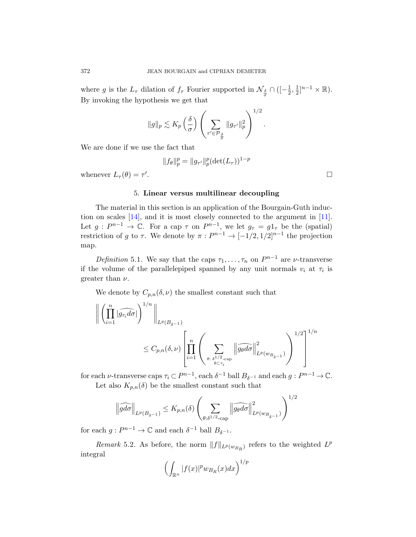where g is the  $L_{\tau}$  dilation of  $f_{\tau}$  Fourier supported in  $\mathcal{N}_{\frac{\delta}{\sigma}} \cap \left( \left[ -\frac{1}{2} \right]$  $\frac{1}{2}, \frac{1}{2}$  $\frac{1}{2}]^{n-1} \times \mathbb{R}$ . By invoking the hypothesis we get that

$$
\|g\|_p \lesssim K_p\left(\frac{\delta}{\sigma}\right) \left(\sum_{\tau' \in \mathcal{P}_{\frac{\delta}{\sigma}}} \|g_{\tau'}\|_p^2\right)^{1/2}.
$$

We are done if we use the fact that

$$
||f_{\theta}||_p^p = ||g_{\tau'}||_p^p (\det(L_{\tau}))^{1-p}
$$

whenever  $L_{\tau}(\theta) = \tau'$ 

# . В последните поставите на селото на селото на селото на селото на селото на селото на селото на селото на се<br>Селото на селото на селото на селото на селото на селото на селото на селото на селото на селото на селото на

# 5. Linear versus multilinear decoupling

The material in this section is an application of the Bourgain-Guth induction on scales [14], and it is most closely connected to the argument in [11]. Let  $g: P^{n-1} \to \mathbb{C}$ . For a cap  $\tau$  on  $P^{n-1}$ , we let  $g_{\tau} = g_{1_{\tau}}$  be the (spatial) restriction of g to  $\tau$ . We denote by  $\pi : P^{n-1} \to [-1/2, 1/2]^{n-1}$  the projection map.

Definition 5.1. We say that the caps  $\tau_1, \ldots, \tau_n$  on  $P^{n-1}$  are *ν*-transverse if the volume of the parallelepiped spanned by any unit normals  $v_i$  at  $\tau_i$  is greater than  $\nu$ .

We denote by  $C_{p,n}(\delta,\nu)$  the smallest constant such that

$$
\left\| \left( \prod_{i=1}^{n} |\widehat{g_{\tau_i}} d\sigma| \right)^{1/n} \right\|_{L^p(B_{\delta^{-1}})}
$$
  

$$
\leq C_{p,n}(\delta, \nu) \left[ \prod_{i=1}^{n} \left( \sum_{\theta:\delta^{1/2}(\text{cap}) \atop \theta \subset \tau_i} \|\widehat{g_{\theta} d\sigma} \right\|_{L^p(w_{B_{\delta^{-1}}})}^2) \right)^{1/2} \right]^{1/n}
$$

<span id="page-21-0"></span>for each  $\nu$ -transverse caps  $\tau_i \subset P^{n-1}$ , each  $\delta^{-1}$  ball  $B_{\delta^{-1}}$  and each  $g: P^{n-1} \to \mathbb{C}$ .

Let also  $K_{p,n}(\delta)$  be the smallest constant such that

$$
\left\|\widehat{gd\sigma}\right\|_{L^p(B_{\delta^{-1}})} \leq K_{p,n}(\delta) \left(\sum_{\theta:\delta^{1/2}\text{-}\mathrm{cap}} \left\|\widehat{g_{\theta}d\sigma}\right\|_{L^p(w_{B_{\delta^{-1}}})}^2\right)^{1/2}
$$

for each  $g: P^{n-1} \to \mathbb{C}$  and each  $\delta^{-1}$  ball  $B_{\delta^{-1}}$ .

Remark 5.2. As before, the norm  $||f||_{L^p(w_{B_R})}$  refers to the weighted  $L^p$ integral

$$
\left(\int_{\mathbb{R}^n} |f(x)|^p w_{B_R}(x) dx\right)^{1/p}
$$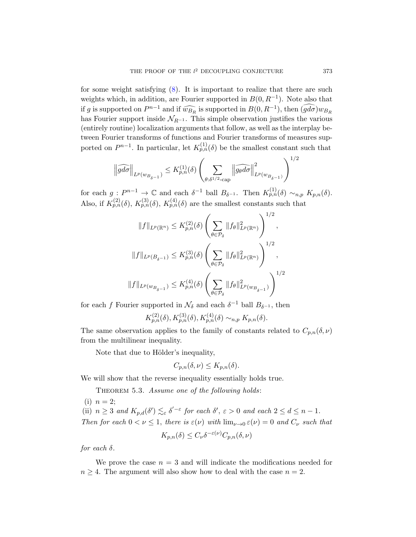for some weight satisfying  $(8)$ . It is important to realize that there are such weights which, in addition, are Fourier supported in  $B(0, R^{-1})$ . Note also that if g is supported on  $P^{n-1}$  and if  $\widehat{w_{B_R}}$  is supported in  $B(0, R^{-1})$ , then  $\widehat{(gd\sigma)}w_{B_R}$ has Fourier support inside  $\mathcal{N}_{R^{-1}}$ . This simple observation justifies the various (entirely routine) localization arguments that follow, as well as the interplay between Fourier transforms of functions and Fourier transforms of measures supported on  $P^{n-1}$ . In particular, let  $K_{p,n}^{(1)}(\delta)$  be the smallest constant such that

$$
\left\|\widehat{gd\sigma}\right\|_{L^p(w_{B_{\delta^{-1}}})} \leq K_{p,n}^{(1)}(\delta)\left(\sum_{\theta:\delta^{1/2}\text{-}\mathrm{cap}}\left\|\widehat{g_{\theta}d\sigma}\right\|_{L^p(w_{B_{\delta^{-1}}})}^2\right)^{1/2}
$$

for each  $g: P^{n-1} \to \mathbb{C}$  and each  $\delta^{-1}$  ball  $B_{\delta^{-1}}$ . Then  $K_{p,n}^{(1)}(\delta) \sim_{n,p} K_{p,n}(\delta)$ . Also, if  $K_{p,n}^{(2)}(\delta)$ ,  $K_{p,n}^{(3)}(\delta)$ ,  $K_{p,n}^{(4)}(\delta)$  are the smallest constants such that

$$
||f||_{L^{p}(\mathbb{R}^{n})} \leq K_{p,n}^{(2)}(\delta) \left( \sum_{\theta \in \mathcal{P}_{\delta}} ||f_{\theta}||_{L^{p}(\mathbb{R}^{n})}^{2} \right)^{1/2},
$$
  

$$
||f||_{L^{p}(B_{\delta^{-1}})} \leq K_{p,n}^{(3)}(\delta) \left( \sum_{\theta \in \mathcal{P}_{\delta}} ||f_{\theta}||_{L^{p}(\mathbb{R}^{n})}^{2} \right)^{1/2},
$$
  

$$
||f||_{L^{p}(w_{B_{\delta^{-1}}})} \leq K_{p,n}^{(4)}(\delta) \left( \sum_{\theta \in \mathcal{P}_{\delta}} ||f_{\theta}||_{L^{p}(w_{B_{\delta^{-1}}})}^{2} \right)^{1/2}
$$

for each f Fourier supported in  $\mathcal{N}_{\delta}$  and each  $\delta^{-1}$  ball  $B_{\delta^{-1}}$ , then

$$
K_{p,n}^{(2)}(\delta), K_{p,n}^{(3)}(\delta), K_{p,n}^{(4)}(\delta) \sim_{n,p} K_{p,n}(\delta).
$$

<span id="page-22-0"></span>The same observation applies to the family of constants related to  $C_{p,n}(\delta,\nu)$ from the multilinear inequality.

Note that due to Hölder's inequality,

$$
C_{p,n}(\delta,\nu)\leq K_{p,n}(\delta).
$$

We will show that the reverse inequality essentially holds true.

THEOREM 5.3. Assume one of the following holds:

(i)  $n = 2$ ; (ii)  $n \geq 3$  and  $K_{p,d}(\delta') \lesssim_{\varepsilon} \delta'^{-\varepsilon}$  for each  $\delta', \varepsilon > 0$  and each  $2 \leq d \leq n-1$ . Then for each  $0 < \nu \leq 1$ , there is  $\varepsilon(\nu)$  with  $\lim_{\nu \to 0} \varepsilon(\nu) = 0$  and  $C_{\nu}$  such that

$$
K_{p,n}(\delta) \le C_{\nu} \delta^{-\varepsilon(\nu)} C_{p,n}(\delta, \nu)
$$

for each  $\delta$ .

We prove the case  $n = 3$  and will indicate the modifications needed for  $n \geq 4$ . The argument will also show how to deal with the case  $n = 2$ .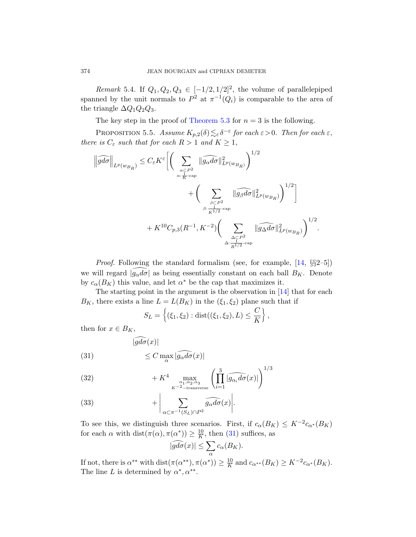Remark 5.4. If  $Q_1, Q_2, Q_3 \in [-1/2, 1/2]^2$ , the volume of parallelepiped spanned by the unit normals to  $P^2$  at  $\pi^{-1}(Q_i)$  is comparable to the area of the triangle  $\Delta Q_1 Q_2 Q_3$ .

The key step in the proof of Theorem 5.3 for  $n = 3$  is the following.

PROPOSITION 5.5. Assume  $K_{p,2}(\delta) \lesssim_{\varepsilon} \delta^{-\varepsilon}$  for each  $\varepsilon > 0$ . Then for each  $\varepsilon$ , there is  $C_{\varepsilon}$  such that for each  $R>1$  and  $K\geq 1,$ 

$$
\left\|\widehat{gd\sigma}\right\|_{L^{p}(w_{B_R})} \leq C_{\varepsilon} K^{\varepsilon} \bigg[ \bigg( \sum_{\substack{\alpha \subset P^2 \\ \alpha: \frac{1}{K}\text{-cap}}} \|\widehat{g_{\alpha}d\sigma}\|_{L^{p}(w_{B_R})}^2 \bigg)^{1/2} + \bigg( \sum_{\substack{\beta \subset P^2 \\ \beta: \frac{1}{K^{1/2}}\text{-cap} \\ K^{1/2}}}\|\widehat{g_{\beta}d\sigma}\|_{L^{p}(w_{B_R})}^2 \bigg)^{1/2} \bigg] + K^{10} C_{p,3}(R^{-1}, K^{-2}) \bigg( \sum_{\substack{\Delta \subset P^2 \\ \Delta: \frac{1}{R^{1/2}}\text{-cap} \\ \Delta^{1/2}}}\|\widehat{g_{\Delta}d\sigma}\|_{L^{p}(w_{B_R})}^2 \bigg)^{1/2}.
$$

*Proof.* Following the standard formalism (see, for example,  $[14, \S\S2-5]$ ) we will regard  $|g_{\alpha}d\sigma|$  as being essentially constant on each ball  $B_K$ . Denote by  $c_{\alpha}(B_K)$  this value, and let  $\alpha^*$  be the cap that maximizes it.

<span id="page-23-0"></span>The starting point in the argument is the observation in [14] that for each  $B_K$ , there exists a line  $L = L(B_K)$  in the  $(\xi_1, \xi_2)$  plane such that if

$$
S_L = \left\{ (\xi_1, \xi_2) : \text{dist}((\xi_1, \xi_2), L) \leq \frac{C}{K} \right\},\
$$

then for  $x \in B_K$ ,

(31) 
$$
\leq C \max_{\alpha} |\widehat{g_{\alpha}d\sigma}(x)|
$$

 $|\widehat{gd\sigma}(x)|$ 

(32) 
$$
+ K^{4} \max_{\substack{\alpha_1,\alpha_2,\alpha_3 \\ K^{-2}-\text{transverse}}} \left( \prod_{i=1}^{3} |\widehat{g_{\alpha_i}d\sigma}(x)| \right)^{1/3}
$$

(33) 
$$
+ \bigg| \sum_{\alpha \subset \pi^{-1}(S_L) \cap P^2} \widehat{g_{\alpha} d\sigma}(x) \bigg|.
$$

To see this, we distinguish three scenarios. First, if  $c_{\alpha}(B_K) \leq K^{-2}c_{\alpha^*}(B_K)$ for each  $\alpha$  with dist $(\pi(\alpha), \pi(\alpha^*)) \geq \frac{10}{K}$  $\frac{10}{K}$ , then (31) suffices, as

$$
|\widehat{gd\sigma}(x)| \le \sum_{\alpha} c_{\alpha}(B_K).
$$

If not, there is  $\alpha^{**}$  with  $dist(\pi(\alpha^{**}), \pi(\alpha^*)) \geq \frac{10}{K}$  $\frac{10}{K}$  and  $c_{\alpha^{**}}(B_K) \geq K^{-2}c_{\alpha^*}(B_K)$ . The line L is determined by  $\alpha^*, \alpha^{**}$ .

<span id="page-23-1"></span>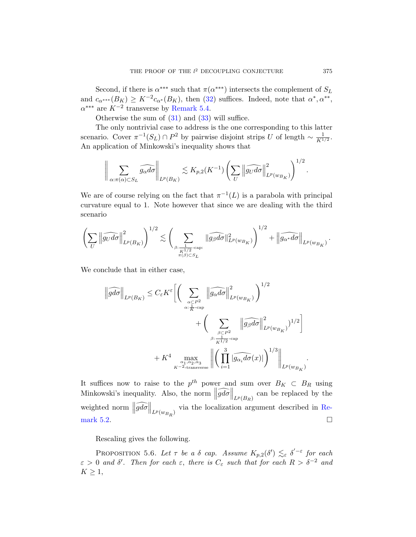Second, if there is  $\alpha^{***}$  such that  $\pi(\alpha^{***})$  intersects the complement of  $S_L$ and  $c_{\alpha^{***}}(B_K) \geq K^{-2}c_{\alpha^*}(B_K)$ , then (32) suffices. Indeed, note that  $\alpha^*, \alpha^{**}$ ,  $\alpha^{***}$  are  $K^{-2}$  transverse by Remark 5.4.

Otherwise the sum of  $(31)$  and  $(33)$  will suffice.

The only nontrivial case to address is the one corresponding to this latter scenario. Cover  $\pi^{-1}(S_L) \cap P^2$  by pairwise disjoint strips U of length  $\sim \frac{1}{K^1}$  $\frac{1}{K^{1/2}}.$ An application of Minkowski's inequality shows that

$$
\bigg\|\sum_{\alpha:\pi(\alpha)\subset S_L}\widehat{g_{\alpha}d\sigma}\bigg\|_{L^p(B_K)}\lesssim K_{p,2}(K^{-1})\left(\sum_U\left\|\widehat{g_Ud\sigma}\right\|_{L^p(w_{B_K})}^2\right)^{1/2}.
$$

We are of course relying on the fact that  $\pi^{-1}(L)$  is a parabola with principal curvature equal to 1. Note however that since we are dealing with the third scenario

$$
\left(\sum_{U}\left\|\widehat{g_{U}d\sigma}\right\|_{L^{p}(B_{K})}^{2}\right)^{1/2} \lesssim \left(\sum_{\beta:\frac{1}{K^{1/2}}\text{-cap:}\atop{\pi(\beta)\subset S_{L}}}\|\widehat{g_{\beta}d\sigma}\|_{L^{p}(w_{B_{K}})}^{2}\right)^{1/2}+\left\|\widehat{g_{\alpha^{*}}d\sigma}\right\|_{L^{p}(w_{B_{K}})}.
$$

We conclude that in either case,

$$
\|\widehat{gd\sigma}\|_{L^{p}(B_K)} \leq C_{\varepsilon} K^{\varepsilon} \Biggl[ \Biggl( \sum_{\substack{\alpha \subset P^2 \\ \alpha: \frac{1}{K}\text{-cap} \\ \beta: \frac{\beta \subset P^2}{K^{1/2}} \text{-cap} \\ \beta: \frac{1}{K^{1/2}}\text{-cap} \\ \beta: \frac{1}{K^{1/2}}\text{-cap}} \|\widehat{g_{\beta}d\sigma}\|_{L^{p}(w_{B_K})}^2 \Biggr)^{1/2} \Biggr] + K^4 \max_{\substack{\alpha_1, \alpha_2, \alpha_3 \\ \alpha_1 \text{-varepsilon} \\ K^{-2}\text{-transverse}}} \left\| \Biggl( \prod_{i=1}^3 |\widehat{g_{\alpha_i}d\sigma}(x)| \Biggr)^{1/3} \right\|_{L^{p}(w_{B_K})}
$$

<span id="page-24-0"></span>It suffices now to raise to the  $p^{th}$  power and sum over  $B_K \subset B_R$  using Minkowski's inequality. Also, the norm  $\left\|\widehat{gd\sigma}\right\|_{L^p(B_R)}$  can be replaced by the weighted norm  $\left\|\widehat{gd\sigma}\right\|_{L^p(w_{B_R})}$  via the localization argument described in Remark 5.2.

Rescaling gives the following.

PROPOSITION 5.6. Let  $\tau$  be a  $\delta$  cap. Assume  $K_{p,2}(\delta') \lesssim_{\varepsilon} \delta'^{-\varepsilon}$  for each  $\varepsilon > 0$  and  $\delta'$ . Then for each  $\varepsilon$ , there is  $C_{\varepsilon}$  such that for each  $R > \delta^{-2}$  and  $K \geq 1$ ,

.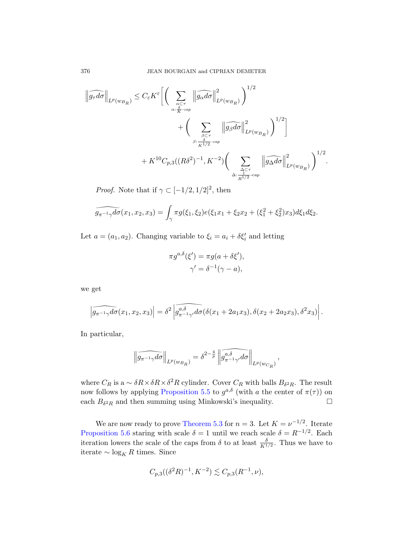$$
\left\| \widehat{g_{\tau}d\sigma} \right\|_{L^{p}(w_{B_R})} \leq C_{\varepsilon} K^{\varepsilon} \left[ \left( \sum_{\alpha \leq \tau \atop{\alpha : \frac{\delta}{K} - cap}} \left\| \widehat{g_{\alpha}d\sigma} \right\|_{L^{p}(w_{B_R})}^{2} \right)^{1/2} + \left( \sum_{\beta \leq \tau \atop{\beta : \frac{\delta}{K^{1/2}} - cap}} \left\| \widehat{g_{\beta}d\sigma} \right\|_{L^{p}(w_{B_R})}^{2} \right)^{1/2} \right] + K^{10} C_{p,3}((R\delta^2)^{-1}, K^{-2}) \left( \sum_{\substack{\Delta \leq \tau \atop{\alpha : \frac{1}{R^{1/2}} - cap}} \left\| \widehat{g_{\Delta}d\sigma} \right\|_{L^{p}(w_{B_R})}^{2} \right)^{1/2}.
$$

*Proof.* Note that if  $\gamma \subset [-1/2, 1/2]^2$ , then

$$
\widehat{g_{\pi^{-1}\gamma}d\sigma}(x_1, x_2, x_3) = \int_{\gamma} \pi g(\xi_1, \xi_2) e(\xi_1 x_1 + \xi_2 x_2 + (\xi_1^2 + \xi_2^2) x_3) d\xi_1 d\xi_2.
$$

Let  $a = (a_1, a_2)$ . Changing variable to  $\xi_i = a_i + \delta \xi'_i$  and letting

$$
\pi g^{a,\delta}(\xi') = \pi g(a + \delta \xi'),
$$
  

$$
\gamma' = \delta^{-1}(\gamma - a),
$$

we get

$$
\left|\widehat{g_{\pi^{-1}\gamma}d\sigma}(x_1,x_2,x_3)\right|=\delta^2\left|\widehat{g_{\pi^{-1}\gamma'}^{a,\delta}d\sigma}(\delta(x_1+2a_1x_3),\delta(x_2+2a_2x_3),\delta^2x_3)\right|.
$$

I[n particular,](#page-23-1)

$$
\left\| \widehat{g_{\pi^{-1}\gamma}d\sigma} \right\|_{L^p(w_{B_R})} = \delta^{2-\frac{4}{p}} \left\| \widehat{g_{\pi^{-1}\gamma'}^{a,\delta}d\sigma} \right\|_{L^p(w_{C_R})}
$$

,

where  $C_R$  is a  $\sim \delta R \times \delta R \times \delta^2 R$  cylinder. Cover  $C_R$  with balls  $B_{\delta^2 R}$ . The result now follows by applying Proposition 5.5 to  $g^{a,\delta}$  (with a the center of  $\pi(\tau)$ ) on each  $B_{\delta^2 R}$  and then summing using Minkowski's inequality.

We are now ready to prove Theorem 5.3 for  $n = 3$ . Let  $K = \nu^{-1/2}$ . Iterate Proposition 5.6 staring with scale  $\delta = 1$  until we reach scale  $\delta = R^{-1/2}$ . Each iteration lowers the scale of the caps from  $\delta$  to at least  $\frac{\delta}{K^{1/2}}$ . Thus we have to iterate  $\sim$  log<sub>K</sub> R times. Since

$$
C_{p,3}((\delta^2 R)^{-1}, K^{-2}) \lesssim C_{p,3}(R^{-1}, \nu),
$$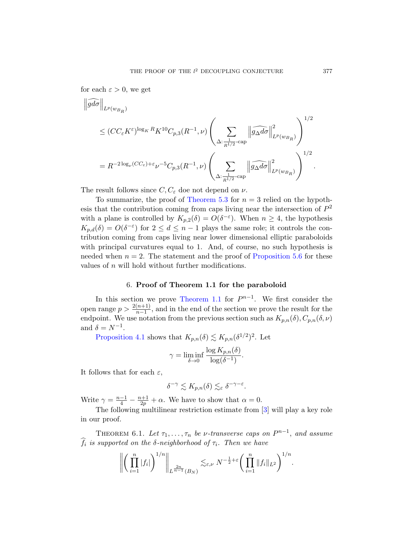for each  $\varepsilon > 0$ , we get

$$
\|\widehat{gd\sigma}\|_{L^p(w_{B_R})}
$$
\n
$$
\leq (CC_{\varepsilon}K^{\varepsilon})^{\log_K R} K^{10}C_{p,3}(R^{-1},\nu) \left(\sum_{\Delta:\frac{1}{R^{1/2}}-\text{cap}} \|\widehat{g_{\Delta}d\sigma}\|_{L^p(w_{B_R})}^2\right)^{1/2}
$$
\n
$$
= R^{-2\log_\nu(CC_\varepsilon)+\varepsilon} \nu^{-5}C_{p,3}(R^{-1},\nu) \left(\sum_{\Delta:\frac{1}{R^{1/2}}-\text{cap}} \|\widehat{g_{\Delta}d\sigma}\|_{L^p(w_{B_R})}^2\right)^{1/2}.
$$

The result follows since  $C, C_{\varepsilon}$  doe not depend on  $\nu$ .

<span id="page-26-1"></span>To summarize, the proof of [Theorem 5.3](#page-24-0) for  $n = 3$  relied on the hypothesis that the contribution coming from caps living near the intersection of  $P^2$ with a plane is controlled by  $K_{p,2}(\delta) = O(\delta^{-\varepsilon})$ . When  $n \geq 4$ , the hypothesis  $K_{p,d}(\delta) = O(\delta^{-\varepsilon})$  for  $2 \leq d \leq n-1$  plays the same role; it controls the contributi[on coming from](#page-1-1) caps living near lower dimensional elliptic paraboloids with principal curvatures equal to 1. And, of course, no such hypothesis is needed when  $n = 2$ . The statement and the proof of Proposition 5.6 for these values of  $n$  will hold without further modifications.

## 6. Proof of Theorem 1.1 for the paraboloid

In this section we prove Theorem 1.1 for  $P^{n-1}$ . We first consider the open range  $p > \frac{2(n+1)}{n-1}$ , and in the end of the section we prove the result for the endpoint. We use notation from the previous section such as  $K_{p,n}(\delta), C_{p,n}(\delta, \nu)$ and  $\delta = N^{-1}$ .

Proposition 4.1 shows that  $K_{p,n}(\delta) \lesssim K_{p,n}(\delta^{1/2})^2$ . Let

$$
\gamma = \liminf_{\delta \to 0} \frac{\log K_{p,n}(\delta)}{\log(\delta^{-1})}.
$$

<span id="page-26-0"></span>It follows that for each  $\varepsilon$ ,

$$
\delta^{-\gamma} \lesssim K_{p,n}(\delta) \lesssim_{\varepsilon} \delta^{-\gamma-\varepsilon}.
$$

Write  $\gamma = \frac{n-1}{4} - \frac{n+1}{2p} + \alpha$ . We have to show that  $\alpha = 0$ .

The following multilinear restriction estimate from [3] will play a key role in our proof.

THEOREM 6.1. Let  $\tau_1, \ldots, \tau_n$  be v-transverse caps on  $P^{n-1}$ , and assume  $f_i$  is supported on the  $\delta$ -neighborhood of  $\tau_i$ . Then we have

$$
\left\| \left( \prod_{i=1}^n |f_i| \right)^{1/n} \right\|_{L^{\frac{2n}{n-1}}(B_N)} \lesssim_{\varepsilon,\nu} N^{-\frac{1}{2}+\varepsilon} \left( \prod_{i=1}^n \|f_i\|_{L^2} \right)^{1/n}.
$$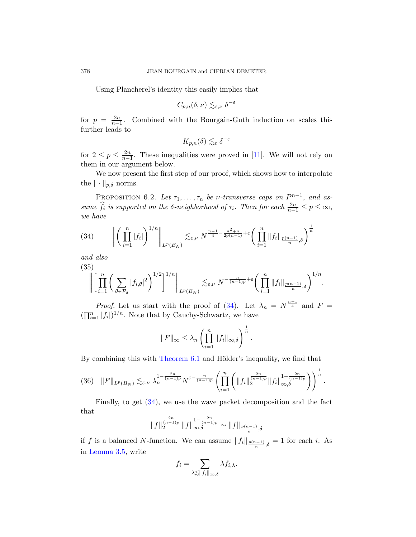Using Plancherel's identi[ty t](#page-36-3)his easily implies that

$$
C_{p,n}(\delta,\nu) \lesssim_{\varepsilon,\nu} \delta^{-\varepsilon}
$$

for  $p = \frac{2n}{n-1}$ . Combined with the Bourgain-Guth induction on scales this further leads to

$$
K_{p,n}(\delta) \lesssim_{\varepsilon} \delta^{-\varepsilon}
$$

for  $2 \leq p \leq \frac{2n}{n-1}$ . These inequalities were proved in [11]. We will not rely on them in our argument below.

<span id="page-27-0"></span>We now present the first step of our proof, which shows how to interpolate the  $\|\cdot\|_{p,\delta}$  norms.

PROPOSITION 6.2. Let  $\tau_1, \ldots, \tau_n$  be v-transverse caps on  $P^{n-1}$ , and assume  $\widehat{f}_i$  is supported on the  $\delta$ -neighborhood of  $\tau_i$ . Then for each  $\frac{2n}{n-1} \leq p \leq \infty$ , we have

(34) 
$$
\left\| \left( \prod_{i=1}^n |f_i| \right)^{1/n} \right\|_{L^p(B_N)} \lesssim_{\varepsilon,\nu} N^{\frac{n-1}{4} - \frac{n^2+n}{2p(n-1)} + \varepsilon} \left( \prod_{i=1}^n \|f_i\|_{\frac{p(n-1)}{n},\delta} \right)^{\frac{1}{n}}
$$

and also

(35)
$$
\left\|\left[\prod_{i=1}^n\bigg(\sum_{\theta\in\mathcal{P}_{\delta}}|f_{i,\theta}|^2\bigg)^{1/2}\right]^{1/n}\right\|_{L^p(B_N)}\lesssim_{\varepsilon,\nu}N^{-\frac{n}{(n-1)p}+\varepsilon}\bigg(\prod_{i=1}^n\|f_i\|_{\frac{p(n-1)}{n},\delta}\bigg)^{1/n}.
$$

<span id="page-27-1"></span>*[Proof](#page-26-0).* Let us start with the proof of (34). Let  $\lambda_n = N^{\frac{n-1}{4}}$  and  $F =$  $(\prod_{i=1}^n |f_i|)^{1/n}$ . Note that by Cauchy-Schwartz, we have

$$
||F||_{\infty} \leq \lambda_n \left(\prod_{i=1}^n ||f_i||_{\infty,\delta}\right)^{\frac{1}{n}}.
$$

By combining this with  $Theorem 6.1$  and Hölder's inequality, we find that

$$
(36) \quad ||F||_{L^{p}(B_{N})} \lesssim_{\varepsilon,\nu} \lambda_{n}^{1-\frac{2n}{(n-1)p}} N^{\varepsilon-\frac{n}{(n-1)p}} \left( \prod_{i=1}^{n} \left( ||f_{i}||_{2}^{\frac{2n}{(n-1)p}} ||f_{i}||_{\infty,\delta}^{1-\frac{2n}{(n-1)p}} \right) \right)^{\frac{1}{n}}.
$$

Finally, to get (34), we use the wave packet decomposition and the fact that

$$
\|f\|_2^{\frac{2n}{(n-1)p}}\|f\|_{\infty,\delta}^{1-\frac{2n}{(n-1)p}} \sim \|f\|_{\frac{p(n-1)}{n},\delta}
$$

if f is a balanced N-function. We can assume  $||f_i||_{\frac{p(n-1)}{n},\delta} = 1$  for each i. As in Lemma 3.5, write

$$
f_i = \sum_{\substack{\lambda \lesssim ||f_i||_{\infty,\delta}}} \lambda f_{i,\lambda}.
$$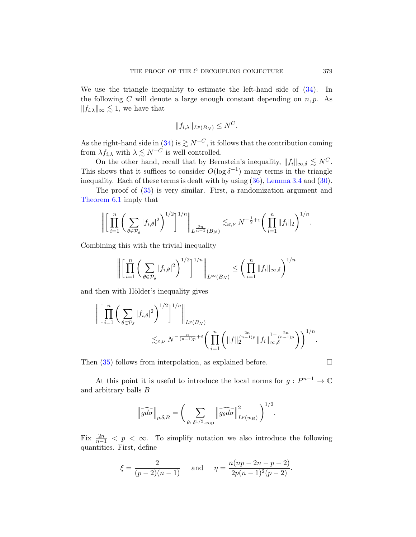[We u](#page-27-0)se the triangle inequality to estimate the left-hand side of (34). In the following C will denote a large enough constant depending on  $n, p$ . As  $||f_{i,\lambda}||_{\infty} \lesssim 1$ , we have that

$$
||f_{i,\lambda}||_{L^p(B_N)} \leq N^C.
$$

As the right-hand side in (34) is  $\geq N^{-C}$ , it follows that the contribution coming from  $\lambda f_{i,\lambda}$  with  $\lambda \leq N^{-C}$  is well controlled.

On the other hand, recall that by Bernstein's inequality,  $||f_i||_{\infty,\delta} \lesssim N^C$ . This shows that it suffices to consider  $O(\log \delta^{-1})$  many terms in the triangle inequality. Each of these terms is dealt with by using (36), Lemma 3.4 and (30).

The proof of (35) is very similar. First, a randomization argument and Theorem 6.1 imply that

$$
\bigg\| \bigg[ \prod_{i=1}^n \bigg( \sum_{\theta \in \mathcal{P}_{\delta}} |f_{i,\theta}|^2 \bigg)^{1/2} \bigg]^{1/n} \bigg\|_{L^{\frac{2n}{n-1}}(B_N)} \lesssim_{\varepsilon,\nu} N^{-\frac{1}{2}+\varepsilon} \bigg( \prod_{i=1}^n \|f_i\|_2 \bigg)^{1/n}.
$$

Combining this with the trivial inequality

$$
\left\| \left[ \prod_{i=1}^n \left( \sum_{\theta \in \mathcal{P}_\delta} |f_{i,\theta}|^2 \right)^{1/2} \right]^{1/n} \right\|_{L^\infty(B_N)} \leq \left( \prod_{i=1}^n \|f_i\|_{\infty,\delta} \right)^{1/n}
$$

and then with Hölder's inequality gives

$$
\left\| \left[ \prod_{i=1}^n \left( \sum_{\theta \in \mathcal{P}_{\delta}} |f_{i,\theta}|^2 \right)^{1/2} \right]^{1/n} \right\|_{L^p(B_N)}
$$
  

$$
\lesssim_{\varepsilon,\nu} N^{-\frac{n}{(n-1)p} + \varepsilon} \left( \prod_{i=1}^n \left( \|f\|_{2}^{\frac{2n}{(n-1)p}} \|f_i\|_{\infty,\delta}^{1-\frac{2n}{(n-1)p}} \right) \right)^{1/n}.
$$

Then  $(35)$  follows from interpolation, as explained before.

At this point it is useful to introduce the local norms for  $g: P^{n-1} \to \mathbb{C}$ and arbitrary balls B

$$
\left\|\widehat{gd\sigma}\right\|_{p,\delta,B}=\bigg(\sum_{\theta:\;\delta^{1/2}\text{-}\mathrm{cap}}\left\|\widehat{g_{\theta}d\sigma}\right\|_{L^p(w_B)}^2\bigg)^{1/2}.
$$

Fix  $\frac{2n}{n-1} < p < \infty$ . To simplify notation we also introduce the following quantities. First, define

$$
\xi = \frac{2}{(p-2)(n-1)}
$$
 and  $\eta = \frac{n(np-2n-p-2)}{2p(n-1)^2(p-2)}$ .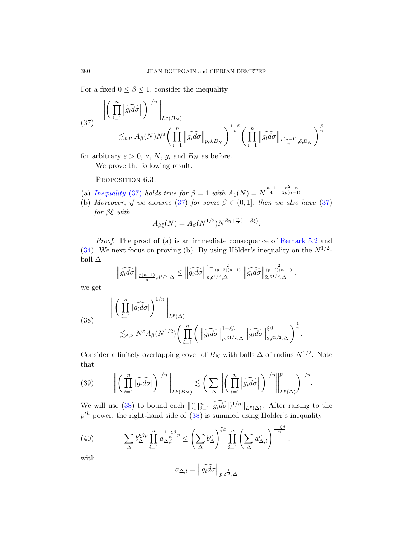<span id="page-29-0"></span>For a fixed  $0 \leq \beta \leq 1$ , consider the inequality

(37) 
$$
\left\| \left( \prod_{i=1}^{n} \left| \widehat{g_i d\sigma} \right| \right)^{1/n} \right\|_{L^p(B_N)} \leq \varepsilon, \nu A_\beta(N) N^{\varepsilon} \left( \prod_{i=1}^{n} \left\| \widehat{g_i d\sigma} \right\|_{p,\delta,B_N} \right)^{\frac{1-\beta}{n}} \left( \prod_{i=1}^{n} \left\| \widehat{g_i d\sigma} \right\|_{\frac{p(n-1)}{n},\delta,B_N} \right)^{\frac{\beta}{n}}
$$

for arbitrary  $\varepsilon > 0$ ,  $\nu$ ,  $N$ ,  $g_i$  and  $B_N$  as before.

We prove the following result.

PROPOSITION 6.3.

- (a) Inequality (37) holds true for  $\beta = 1$  with  $A_1(N) = N^{\frac{n-1}{4} \frac{n^2+n}{2p(n-1)}}$ .
- (b) Moreover, if we assume (37) for some  $\beta \in (0,1]$ , then we also have (37) for  $\beta \xi$  with

$$
A_{\beta\xi}(N) = A_{\beta}(N^{1/2})N^{\beta\eta + \frac{\gamma}{2}(1-\beta\xi)}.
$$

<span id="page-29-1"></span>Proof. The proof of (a) is an immediate consequence of Remark 5.2 and (34). We next focus on proving (b). By using Hölder's inequality on the  $N^{1/2}$ ball  $\Delta$ 

$$
\left\|\widehat{g_id\sigma}\right\|_{\frac{p(n-1)}{n},\delta^{1/2},\Delta} \leq \left\|\widehat{g_id\sigma}\right\|_{p,\delta^{1/2},\Delta}^{1-\frac{2}{(p-2)(n-1)}} \left\|\widehat{g_id\sigma}\right\|_{2,\delta^{1/2},\Delta}^{\frac{2}{(p-2)(n-1)}},
$$

we get

<span id="page-29-2"></span>(38) 
$$
\left\| \left( \prod_{i=1}^{n} |\widehat{g_{i}} d\sigma| \right)^{1/n} \right\|_{L^{p}(\Delta)} \leq \varepsilon, \nu N^{\varepsilon} A_{\beta}(N^{1/2}) \left( \prod_{i=1}^{n} \left( \left\| \widehat{g_{i}} d\sigma \right\|_{p,\delta^{1/2},\Delta}^{1-\xi\beta} \left\| \widehat{g_{i}} d\sigma \right\|_{2,\delta^{1/2},\Delta}^{\xi\beta} \right)^{\frac{1}{n}}.
$$

Consider a [fin](#page-29-1)itely overlapping cover of  $B_N$  with balls  $\Delta$  of radius  $N^{1/2}$ . Note that

<span id="page-29-3"></span>(39) 
$$
\left\| \left( \prod_{i=1}^n \widehat{|g_i d\sigma|} \right)^{1/n} \right\|_{L^p(B_N)} \lesssim \left( \sum_{\Delta} \left\| \left( \prod_{i=1}^n \left| \widehat{g_i d\sigma} \right| \right)^{1/n} \right\|_{L^p(\Delta)}^p \right)^{1/p}.
$$

We will use (38) to bound each  $\|(\prod_{i=1}^n |\widetilde{g_i d\sigma}|)^{1/n}\|_{L^p(\Delta)}$ . After raising to the  $p^{th}$  power, the right-hand side of  $(38)$  is summed using Hölder's inequality

(40) 
$$
\sum_{\Delta} b_{\Delta}^{\xi\beta p} \prod_{i=1}^{n} a_{\Delta,i}^{\frac{1-\xi\beta}{n}p} \leq \left(\sum_{\Delta} b_{\Delta}^{p}\right)^{\xi\beta} \prod_{i=1}^{n} \left(\sum_{\Delta} a_{\Delta,i}^{p}\right)^{\frac{1-\xi\beta}{n}},
$$

with

$$
a_{\Delta,i} = \left\|\widehat{g_id\sigma}\right\|_{p,\delta^{\frac{1}{2}},\Delta}
$$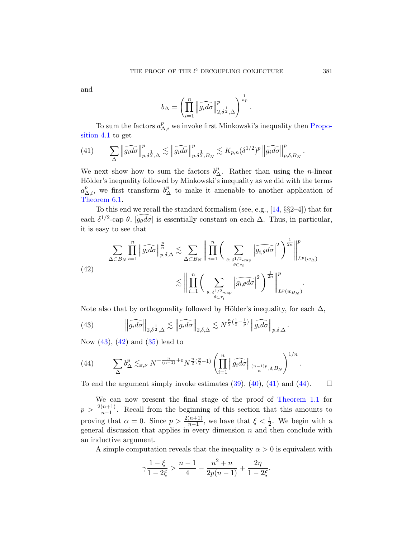<span id="page-30-0"></span>and

$$
b_{\Delta} = \left(\prod_{i=1}^n \left\|\widehat{g_id\sigma}\right\|_{2,\delta^{\frac{1}{2}},\Delta}^p\right)^{\frac{1}{np}}.
$$

To sum the factors  $a_{\Delta,i}^p$  we invoke first Minkowski's inequality then Proposition 4.1 to get

(41) 
$$
\sum_{\Delta} \left\| \widehat{g_i d\sigma} \right\|_{p,\delta^{\frac{1}{2}},\Delta}^p \lesssim \left\| \widehat{g_i d\sigma} \right\|_{p,\delta^{\frac{1}{2}},B_N}^p \lesssim K_{p,n}(\delta^{1/2})^p \left\| \widehat{g_i d\sigma} \right\|_{p,\delta,B_N}^p
$$

We next show how to sum the factors  $b_{\Delta}^p$ . Rather than using the *n*-linear Hölder's inequality followed by Minkowski's inequality as we did with the terms  $a_{\Delta,i}^p$ , we first transform  $b_{\Delta}^p$  to make it amenable to another application of Theorem 6.1.

To this end we recall the standard formalism (see, e.g., [14, §§2–4]) that for each  $\delta^{1/2}$ -cap  $\theta$ ,  $\sqrt{g_{\theta}d\sigma}$  is essentially constant on each  $\Delta$ . Thus, in particular, it is easy to see that

(42)  

$$
\sum_{\Delta \subset B_N} \prod_{i=1}^n \left\| \widehat{g_i d\sigma} \right\|_{p,\delta,\Delta}^{\frac{p}{n}} \lesssim \sum_{\Delta \subset B_N} \left\| \prod_{i=1}^n \left( \sum_{\theta:\ \delta^{1/2}\text{-cap}} \left| \widehat{g_{i,\theta} d\sigma} \right|^2 \right)^{\frac{1}{2n}} \right\|_{L^p(w_\Delta)}^p
$$

$$
\lesssim \left\| \prod_{i=1}^n \left( \sum_{\theta:\ \delta^{1/2}\text{-cap}} \left| \widehat{g_{i,\theta} d\sigma} \right|^2 \right)^{\frac{1}{2n}} \right\|_{L^p(w_{B_N})}^p
$$

<span id="page-30-1"></span>Note also that by orthogonality followed by Hölder's inequality, for each  $\Delta$ ,

(43) 
$$
\left\|\widehat{g_id\sigma}\right\|_{2,\delta^{\frac{1}{2}},\Delta} \lesssim \left\|\widehat{g_id\sigma}\right\|_{2,\delta,\Delta} \lesssim N^{\frac{n}{2}(\frac{1}{2}-\frac{1}{p})}\left\|\widehat{g_id\sigma}\right\|_{p,\delta,\Delta}.
$$

Now (43), (42) and (35) lead to

(44) 
$$
\sum_{\Delta} b_{\Delta}^p \lesssim_{\varepsilon,\nu} N^{-\frac{n}{(n-1)}+\varepsilon} N^{\frac{n}{2}(\frac{p}{2}-1)} \left( \prod_{i=1}^n \left\| \widehat{g_i d\sigma} \right\|_{\frac{(n-1)p}{n},\delta,B_N} \right)^{1/n}.
$$

To end the argument simply invoke estimates  $(39)$ ,  $(40)$ ,  $(41)$  and  $(44)$ .  $\Box$ 

We can now present the final stage of the proof of Theorem 1.1 for  $p > \frac{2(n+1)}{n-1}$ . Recall from the beginning of this section that this amounts to proving that  $\alpha = 0$ . Since  $p > \frac{2(n+1)}{n-1}$ , we have that  $\xi < \frac{1}{2}$ . We begin with a general discussion that applies in every dimension  $n$  and then conclude with an inductive argument.

A simple computation reveals that the inequality  $\alpha > 0$  is equivalent with

$$
\gamma \frac{1-\xi}{1-2\xi} > \frac{n-1}{4} - \frac{n^2+n}{2p(n-1)} + \frac{2\eta}{1-2\xi}.
$$

.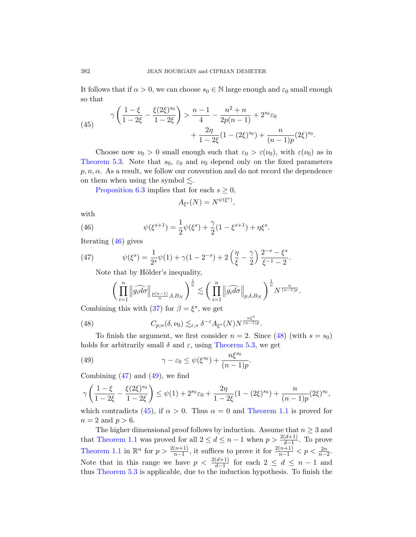It follows that if  $\alpha > 0$ , we can choose  $s_0 \in \mathbb{N}$  large enough and  $\varepsilon_0$  small enough so that

(45) 
$$
\gamma \left( \frac{1-\xi}{1-2\xi} - \frac{\xi(2\xi)^{s_0}}{1-2\xi} \right) > \frac{n-1}{4} - \frac{n^2+n}{2p(n-1)} + 2^{s_0} \varepsilon_0 + \frac{2\eta}{1-2\xi} (1-(2\xi)^{s_0}) + \frac{n}{(n-1)p} (2\xi)^{s_0}.
$$

Choose now  $\nu_0 > 0$  small enough such that  $\varepsilon_0 > \varepsilon(\nu_0)$ , with  $\varepsilon(\nu_0)$  as in Theorem 5.3. Note that  $s_0$ ,  $\varepsilon_0$  and  $\nu_0$  depend only on the fixed parameters  $p, n, \alpha$ . As a result, we follow our convention and do not record the dependence on them when using the symbol  $\leq$ .

Proposition 6.3 implies that for each  $s \geq 0$ ,

$$
A_{\xi^s}(N) = N^{\psi(\xi^s)},
$$

with

(46) 
$$
\psi(\xi^{s+1}) = \frac{1}{2}\psi(\xi^s) + \frac{\gamma}{2}(1 - \xi^{s+1}) + \eta\xi^s.
$$

Iterating (46) gives

<span id="page-31-0"></span>(47) 
$$
\psi(\xi^s) = \frac{1}{2^s} \psi(1) + \gamma (1 - 2^{-s}) + 2 \left(\frac{\eta}{\xi} - \frac{\gamma}{2}\right) \frac{2^{-s} - \xi^s}{\xi^{-1} - 2}.
$$

Note that by Hölder's inequality[,](#page-31-0)

$$
\bigg(\prod_{i=1}^n \left\|\widehat{g_id\sigma}\right\|_{\frac{p(n-1)}{n},\delta,B_N}\bigg)^{\frac{1}{n}} \lesssim \bigg(\prod_{i=1}^n \left\|\widehat{g_id\sigma}\right\|_{p,\delta,B_N}\bigg)^{\frac{1}{n}}N^{\frac{n}{(n-1)p}}.
$$

<span id="page-31-1"></span>Combining this with (37) for  $\beta = \xi^s$ , we get

(48) 
$$
C_{p,n}(\delta,\nu_0)\lesssim_{\varepsilon,s} \delta^{-\varepsilon}A_{\xi^s}(N)N^{\frac{n\xi^s}{(n-1)p}}.
$$

To finish the argument, we first consider  $n = 2$ . Since (48) (with  $s = s_0$ ) holds for arbitrarily small  $\delta$  and  $\varepsilon$ [, using](#page-1-1) Theorem 5.3, we get

(49) 
$$
\gamma - \varepsilon_0 \leq \psi(\xi^{s_0}) + \frac{n\xi^{s_0}}{(n-1)p}.
$$

Combining  $(47)$  and  $(49)$ , we find

$$
\gamma \left( \frac{1-\xi}{1-2\xi} - \frac{\xi(2\xi)^{s_0}}{1-2\xi} \right) \le \psi(1) + 2^{s_0} \varepsilon_0 + \frac{2\eta}{1-2\xi} (1-(2\xi)^{s_0}) + \frac{n}{(n-1)p} (2\xi)^{s_0},
$$

which contradicts (45), if  $\alpha > 0$ . Thus  $\alpha = 0$  and Theorem 1.1 is proved for  $n = 2$  and  $p > 6$ .

The higher dimensional proof follows by induction. Assume that  $n \geq 3$  and that Theorem 1.1 was proved for all  $2 \le d \le n-1$  when  $p > \frac{2(d+1)}{d-1}$ . To prove Theorem 1.1 in  $\mathbb{R}^n$  for  $p > \frac{2(n+1)}{n-1}$ , it suffices to prove it for  $\frac{2(n+1)}{n-1} < p < \frac{2n}{n-2}$ . Note that in this range we have  $p < \frac{2(d+1)}{d-1}$  for each  $2 \leq d \leq n-1$  and thus Theorem 5.3 is applicable, due to the induction hypothesis. To finish the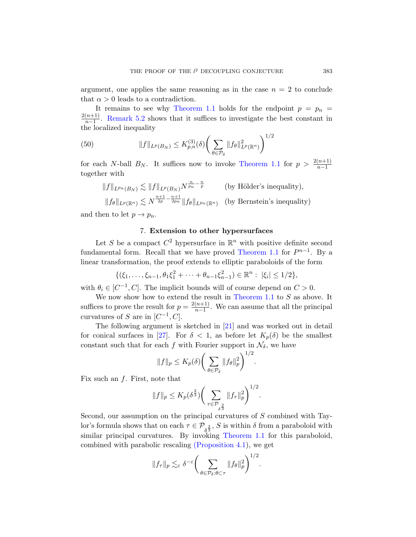argument, one applies the same reasoning as in the case  $n = 2$  to conclude that  $\alpha > 0$  leads to a contradiction.

It remains to see why [Theorem 1](#page-1-1).1 holds for the endpoint  $p = p_n$  $2(n+1)$  $\frac{n+1}{n-1}$ . Remark 5.2 shows that it suffices to investigate the best constant in the localized inequality

(50) 
$$
||f||_{L^{p}(B_{N})} \leq K_{p,n}^{(3)}(\delta) \bigg(\sum_{\theta \in \mathcal{P}_{\delta}} ||f_{\theta}||_{L^{p}(\mathbb{R}^{n})}^{2}\bigg)^{1/2}
$$

for each N-ball  $B_N$ . It suffices now to invoke Theorem 1.1 for  $p > \frac{2(n+1)}{n-1}$ together with

$$
||f||_{L^{p_n}(B_N)} \lesssim ||f||_{L^p(B_N)} N^{\frac{n}{p_n} - \frac{n}{p}} \qquad \text{(by Hölder's inequality)},
$$
  

$$
||f_{\theta}||_{L^p(\mathbb{R}^n)} \lesssim N^{\frac{n+1}{2p} - \frac{n+1}{2p_n}} ||f_{\theta}||_{L^{p_n}(\mathbb{R}^n)} \qquad \text{(by Bernstein's inequality)}
$$

and then to let  $p \to p_n$ .

## 7. Extension to other hypersurfaces

Let S be a compact  $C^2$  [hypersu](#page-1-1)rface in  $\mathbb{R}^n$  with positive definite second fundamental form. Recall that we have proved Theorem 1.1 for  $P^{n-1}$ . By a linear transformation[, th](#page-37-0)e proof extends to elliptic paraboloids of the form

$$
\{(\xi_1,\ldots,\xi_{n-1},\theta_1\xi_1^2+\cdots+\theta_{n-1}\xi_{n-1}^2)\in\mathbb{R}^n:\;|\xi_i|\leq 1/2\},\;
$$

with  $\theta_i \in [C^{-1}, C]$ . The implicit bounds will of course depend on  $C > 0$ .

We now show how to extend the result in Theorem 1.1 to  $S$  as above. It suffices to prove the result for  $p = \frac{2(n+1)}{n-1}$  $\frac{(n+1)}{n-1}$ . We can assume that all the principal curvatures of S are in  $[C^{-1}, C]$ .

The following argument is sketched in [21] and was worked out in detail for conical surfaces in [27]. For  $\delta < 1$ , as before let  $K_p(\delta)$  be the smallest constant such that for each f with Fourier support in  $\mathcal{N}_{\delta}$ , we have

$$
||f||_p \le K_p(\delta) \bigg(\sum_{\theta \in \mathcal{P}_{\delta}} ||f_{\theta}||_p^2\bigg)^{1/2}.
$$

Fix such an  $f$ [. First](#page-20-0)[, note that](#page-1-1)

$$
||f||_{p} \le K_{p}(\delta^{\frac{2}{3}}) \bigg(\sum_{\tau \in \mathcal{P}_{\delta^{\frac{2}{3}}}} ||f_{\tau}||_{p}^{2}\bigg)^{1/2}.
$$

Second, our assumption on the principal curvatures of S combined with Taylor's formula shows that on each  $\tau \in \mathcal{P}_{\delta^{\frac{2}{3}}}$ , S is within  $\delta$  from a paraboloid with similar principal curvatures. By invoking Theorem 1.1 for this paraboloid, combined with parabolic rescaling (Proposition 4.1), we get

$$
||f_{\tau}||_p \lesssim_{\varepsilon} \delta^{-\varepsilon} \bigg( \sum_{\theta \in \mathcal{P}_{\delta} : \theta \subset \tau} ||f_{\theta}||_p^2 \bigg)^{1/2}.
$$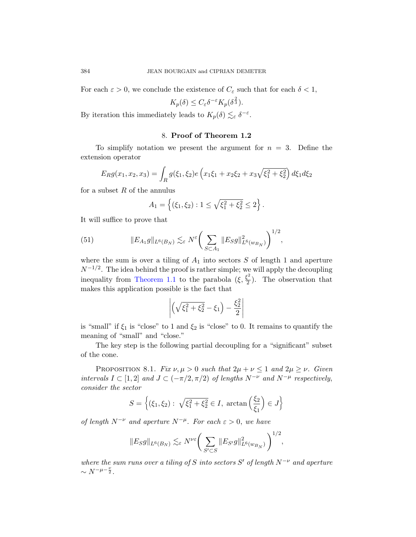For each  $\varepsilon > 0$ , we conclude the existence of  $C_{\varepsilon}$  such that for each  $\delta < 1$ ,

$$
K_p(\delta) \le C_{\varepsilon} \delta^{-\varepsilon} K_p(\delta^{\frac{2}{3}}).
$$

By iteration this immediately leads to  $K_p(\delta) \lesssim_{\varepsilon} \delta^{-\varepsilon}$ .

# 8. Proof of Theorem 1.2

To simplify notation we present the argument for  $n = 3$ . Define the extension operator

$$
E_R g(x_1, x_2, x_3) = \int_R g(\xi_1, \xi_2) e\left(x_1\xi_1 + x_2\xi_2 + x_3\sqrt{\xi_1^2 + \xi_2^2}\right) d\xi_1 d\xi_2
$$

<span id="page-33-0"></span>for a subset  $R$  of the annulus

$$
A_1 = \left\{ (\xi_1, \xi_2) : 1 \le \sqrt{\xi_1^2 + \xi_2^2} \le 2 \right\}.
$$

[It will](#page-1-1) suffice to prove that

(51) 
$$
||E_{A_1}g||_{L^6(B_N)} \lesssim_{\varepsilon} N^{\varepsilon} \bigg(\sum_{S \subset A_1} ||E_S g||_{L^6(w_{B_N})}^2\bigg)^{1/2},
$$

where the sum is over a tiling of  $A_1$  into sectors  $S$  of length 1 and aperture  $N^{-1/2}$ . The idea behind the proof is rather simple; we will apply the decoupling inequality from Theorem 1.1 to the parabola  $(\xi, \frac{\xi^2}{2})$  $\frac{1}{2}$ ). The observation that makes this application possible is the fact that

$$
\left| \left( \sqrt{\xi_1^2 + \xi_2^2} - \xi_1 \right) - \frac{\xi_2^2}{2} \right|
$$

is "small" if  $\xi_1$  is "close" to 1 and  $\xi_2$  is "close" to 0. It remains to quantify the meaning of "small" and "close."

The key step is the following partial decoupling for a "significant" subset of the cone.

PROPOSITION 8.1. Fix  $\nu, \mu > 0$  such that  $2\mu + \nu \leq 1$  and  $2\mu \geq \nu$ . Given intervals  $I \subset [1,2]$  and  $J \subset (-\pi/2, \pi/2)$  of lengths  $N^{-\nu}$  and  $N^{-\mu}$  respectively, consider the sector

$$
S = \left\{ (\xi_1, \xi_2) : \sqrt{\xi_1^2 + \xi_2^2} \in I, \arctan\left(\frac{\xi_2}{\xi_1}\right) \in J \right\}
$$

of length  $N^{-\nu}$  and aperture  $N^{-\mu}$ . For each  $\varepsilon > 0$ , we have

$$
||E_Sg||_{L^6(B_N)} \lesssim_{\varepsilon} N^{\nu\varepsilon} \bigg(\sum_{S' \subset S} ||E_{S'}g||^2_{L^6(w_{B_N})}\bigg)^{1/2},
$$

where the sum runs over a tiling of S into sectors S' of length  $N^{-\nu}$  and aperture  $\sim N^{-\mu-\frac{\nu}{2}}$ .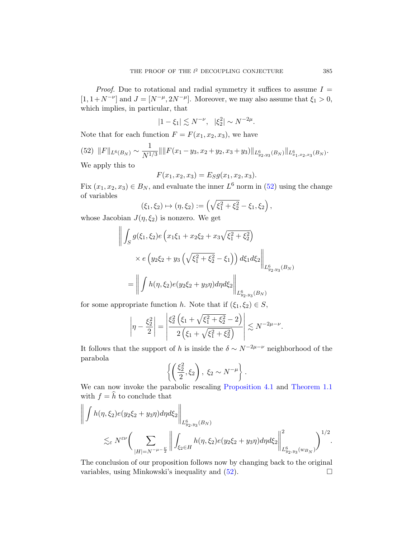<span id="page-34-0"></span>*Proof.* Due to rotational and radial symmetry it suffices to assume  $I =$  $[1, 1+N^{-\nu}]$  and  $J = [N^{-\mu}, 2N^{-\mu}]$ . Moreover, we may also assume that  $\xi_1 > 0$ , which implies, in particular, that

$$
|1 - \xi_1| \lesssim N^{-\nu}, \quad |\xi_2^2| \sim N^{-2\mu}.
$$

Note that for each function  $F = F(x_1, x_2, x_3)$ , we have

$$
(52)\ \ \|F\|_{L^{6}(B_N)} \sim \frac{1}{N^{1/3}}\| \|F(x_1 - y_3, x_2 + y_2, x_3 + y_3)\|_{L^{6}_{y_2, y_3}(B_N)}\|_{L^{6}_{x_1, x_2, x_3}(B_N)}.
$$

We apply this to

$$
F(x_1, x_2, x_3) = E_S g(x_1, x_2, x_3).
$$

Fix  $(x_1, x_2, x_3) \in B_N$ , and evaluate the inner  $L^6$  norm in (52) using the change of variables

$$
(\xi_1, \xi_2) \mapsto (\eta, \xi_2) := \left(\sqrt{\xi_1^2 + \xi_2^2} - \xi_1, \xi_2\right),
$$

whose Jacobian  $J(\eta, \xi_2)$  is nonzero. We get

$$
\left\| \int_{S} g(\xi_1, \xi_2) e\left( x_1 \xi_1 + x_2 \xi_2 + x_3 \sqrt{\xi_1^2 + \xi_2^2} \right) \right\|_{L^6_{y_2, y_3}(B_N)} \times e\left( y_2 \xi_2 + y_3 \left( \sqrt{\xi_1^2 + \xi_2^2} - \xi_1 \right) \right) d\xi_1 d\xi_2 \right\|_{L^6_{y_2, y_3}(B_N)} = \left\| \int h(\eta, \xi_2) e(y_2 \xi_2 + y_3 \eta) d\eta d\xi_2 \right\|_{L^6_{y_2, y_3}(B_N)}.
$$

for some appropriate function h. Note that if  $(\xi_1, \xi_2) \in S$ ,

$$
\left|\eta - \frac{\xi_2^2}{2}\right| = \left|\frac{\xi_2^2\left(\xi_1 + \sqrt{\xi_1^2 + \xi_2^2} - 2\right)}{2\left(\xi_1 + \sqrt{\xi_1^2 + \xi_2^2}\right)}\right| \lesssim N^{-2\mu - \nu}.
$$

It follows that the support of h is inside the  $\delta \sim N^{-2\mu-\nu}$  neighborhood of the parabola

$$
\left\{ \left( \frac{\xi_2^2}{2}, \xi_2 \right), \xi_2 \sim N^{-\mu} \right\}.
$$

We can now invoke the parabolic rescaling Proposition 4.1 and Theorem 1.1 with  $f = \hat{h}$  to conclude that

$$
\left\| \int h(\eta,\xi_2) e(y_2\xi_2 + y_3 \eta) d\eta d\xi_2 \right\|_{L_{y_2,y_3}^6(B_N)}\n\lesssim_{\varepsilon} N^{\varepsilon\nu} \left( \sum_{|H|=N^{-\mu-\frac{\nu}{2}}} \left\| \int_{\xi_2 \in H} h(\eta,\xi_2) e(y_2\xi_2 + y_3 \eta) d\eta d\xi_2 \right\|_{L_{y_2,y_3}^6(w_{B_N})}^2 \right)^{1/2}.
$$

The conclusion of our proposition follows now by changing back to the original variables, using Minkowski's inequality and  $(52)$ .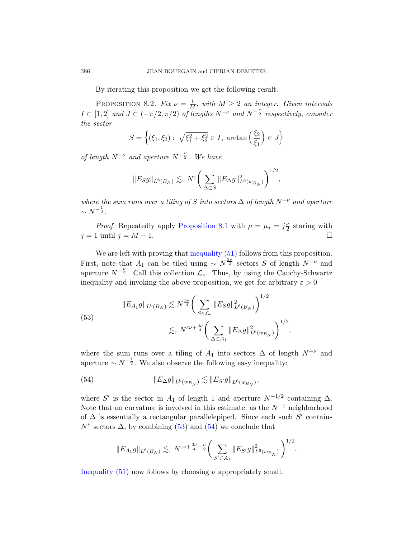By iterating this proposition we get the following result.

PROPOSITION 8.2. Fix  $\nu = \frac{1}{M}$ , with  $M \geq 2$  an integer. Given intervals  $I \subset [1,2]$  and  $J \subset (-\pi/2, \pi/2)$  of lengths  $N^{-\nu}$  and  $N^{-\frac{\nu}{2}}$  respectively, consider the sector

$$
S = \left\{ (\xi_1, \xi_2) : \sqrt{\xi_1^2 + \xi_2^2} \in I, \arctan\left(\frac{\xi_2}{\xi_1}\right) \in J \right\}
$$

of length  $N^{-\nu}$  and aperture  $N^{-\frac{\nu}{2}}$ . We have

$$
\|E_S g\|_{L^6(B_N)}\lesssim_\varepsilon N^\varepsilon\bigg(\sum_{\Delta\subset S}\|E_{\Delta} g\|_{L^6(w_{B_N})}^2\bigg)^{1/2},
$$

where the [sum runs over a](#page-33-0) tiling of S into sectors  $\Delta$  of length  $N^{-\nu}$  and aperture  $\sim N^{-\frac{1}{2}}.$ 

*Proof.* Repeatedly apply Proposition 8.1 with  $\mu = \mu_j = j\frac{\nu}{2}$  $\frac{\nu}{2}$  staring with  $j = 1$  until  $j = M - 1$ .

<span id="page-35-0"></span>We are left with proving that inequality  $(51)$  follows from this proposition. First, note that  $A_1$  can be tiled using  $\sim N^{\frac{3\nu}{2}}$  sectors S of length  $N^{-\nu}$  and aperture  $N^{-\frac{\nu}{2}}$ . Call this collection  $\mathcal{L}_{\nu}$ . Thus, by using the Cauchy-Schwartz inequality and invoking the above proposition, we get for arbitrary  $\varepsilon > 0$ 

<span id="page-35-1"></span>(53)  

$$
||E_{A_1}g||_{L^6(B_N)} \lesssim N^{\frac{3\nu}{4}} \bigg(\sum_{S \in \mathcal{L}_{\nu}} ||E_S g||_{L^6(B_N)}^2\bigg)^{1/2}
$$

$$
\lesssim_{\varepsilon} N^{\varepsilon\nu + \frac{3\nu}{4}} \bigg(\sum_{\Delta \subset A_1} ||E_{\Delta} g||_{L^6(w_{B_N})}^2\bigg)^{1/2},
$$

where the sum runs over a tiling of  $A_1$  into sectors  $\Delta$  of length  $N^{-\nu}$  and apert[ure](#page-35-0)  $\sim N^{-\frac{1}{2}}$ [. W](#page-35-1)e also observe the following easy inequality:

(54) 
$$
||E_{\Delta}g||_{L^{6}(w_{B_N})} \lesssim ||E_{S'}g||_{L^{6}(w_{B_N})},
$$

where S' is the sector in  $A_1$  of length 1 and aperture  $N^{-1/2}$  containing  $\Delta$ . Note that no curvature is involved in this estimate, as the  $N^{-1}$  neighborhood of  $\Delta$  is essentially a rectangular parallelepiped. Since each such  $S'$  contains  $N^{\nu}$  sectors  $\Delta$ , by combining (53) and (54) we conclude that

$$
||E_{A_1}g||_{L^6(B_N)} \lesssim_{\varepsilon} N^{\varepsilon\nu+\frac{3\nu}{4}+\frac{\nu}{2}} \bigg(\sum_{S' \subset A_1} ||E_{S'}g||^2_{L^6(w_{B_N})}\bigg)^{1/2}.
$$

Inequality  $(51)$  now follows by choosing  $\nu$  appropriately small.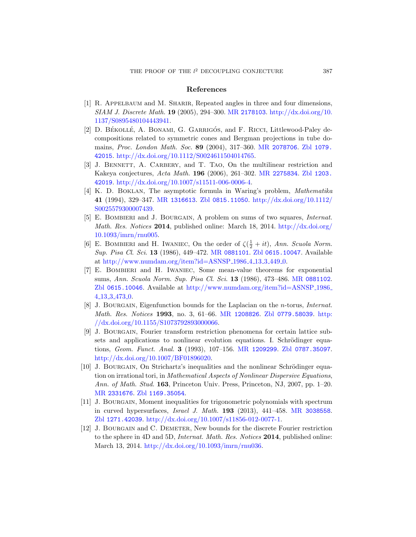#### [References](http://www.ams.org/mathscinet-getitem?mr=2078706)

- <span id="page-36-6"></span><span id="page-36-1"></span><span id="page-36-0"></span>[1] [R. Appelbaum](http://dx.doi.org/10.1112/S0024611504014765) and M. Sharir, Repeated angles in three and four dimensions, SIAM J. Discrete Math. 19 ([2005\), 294–300](http://www.ams.org/mathscinet-getitem?mr=2275834). MR [21781](http://www.zentralblatt-math.org/zmath/en/search/?q=an:1203.42019)03. http://dx.doi.org/10. [1137/S0895480104443941.](http://dx.doi.org/10.1007/s11511-006-0006-4)
- [2] D. BÉKOLLÉ, A. BONAMI, G. GARRIGÓS, and F. RICCI, Littlewood-Paley de[compositi](http://www.ams.org/mathscinet-getitem?mr=1316613)[ons related to sy](http://www.zentralblatt-math.org/zmath/en/search/?q=an:0815.11050)[mmetric cones and Bergman](http://dx.doi.org/10.1112/S0025579300007439) projections in tube domains, Proc. London Math. Soc. 89 (2004), 317–360. MR 2078706. Zbl 1079. 42015. http://dx.doi.org/10.1112/S0024611504014765.
- <span id="page-36-7"></span>[3] J. BENNETT, A. CARBERY, and T. TAO[, On the m](http://dx.doi.org/10.1093/imrn/rnu005)ultilinear restriction and Kakeya conjectures, Acta Math. 196 (2006), 261–302. MR 2275834. Zbl 1203. 42019. http://dx.doi.org/10.1007/s11511-006-0006-4.
- [4] K. D. Boklan[, The asym](http://www.ams.org/mathscinet-getitem?mr=0881101)[ptotic formula i](http://www.zentralblatt-math.org/zmath/en/search/?q=an:0615.10047)n Waring's problem, Mathematika 41 [\(1994\), 329–347.](http://www.numdam.org/item?id=ASNSP_1986_4_13_3_449_0) MR 1316613. Zbl 0815.11050. http://dx.doi.org/10.1112/ S0025579300007439.
- [5] E. Bombieri and J. Bourgain, A pro[blem on sums](http://www.ams.org/mathscinet-getitem?mr=0881102) of two squares, Internat. Math. Res. Notices 2014[, published online: March 18,](http://www.numdam.org/item?id=ASNSP_1986_4_13_3_473_0) 2014. http://dx.doi.org/ 10.1093/imrn/rnu005.
- [6] E. BOMBIERI and H. IWANIEC, On the order of  $\zeta(\frac{1}{2} + it)$ , Ann. Scuola Norm. Sup. Pisa Cl. Sci. 13 [\(1986\), 4](http://www.ams.org/mathscinet-getitem?mr=1208826)[49–472.](http://www.zentralblatt-math.org/zmath/en/search/?q=an:0779.58039) MR 08811[01](http://dx.doi.org/10.1155/S1073792893000066). Zbl 0615.10047. Available at [http://www.n](http://dx.doi.org/10.1155/S1073792893000066)umdam.org/item?id=ASNSP 1986 4 13 3 449 0.
- <span id="page-36-4"></span>[7] E. Bombieri and H. Iwaniec, Some mean-value theorems for exponential sums, Ann. Scuola Norm. Sup. Pisa Cl. Sci. 13 (1986), 473–486. MR 0881102. Zbl 0615.10046. Avai[lable at](http://www.ams.org/mathscinet-getitem?mr=1209299) http:/[/www.numdam.or](http://www.zentralblatt-math.org/zmath/en/search/?q=an:0787.35097)g/item?id=ASNSP 1986 4 13 3 473 0.
- <span id="page-36-5"></span>[8] [J. Bourgain](http://dx.doi.org/10.1007/BF01896020), Eigenfunction bounds for the Laplacian on the n-torus, Internat. Math. Res. Notices 1993, no. 3, 61–66. MR 1208826. Zbl 0779.58039. http: //dx.doi.org/10.1155/S1073792893000066.
- <span id="page-36-3"></span>[9] [J. Bo](http://www.zentralblatt-math.org/zmath/en/search/?q=an:1169.35054)urgain, Fourier transform restriction phenomena for certain lattice subsets and applications to nonlinear evolution equations. I. Schrödinger equations, Geom. Funct. Anal. 3 (1993), 1[07–156.](http://www.ams.org/mathscinet-getitem?mr=3038558) MR 1209299. Zbl 0787.35097. [http://dx.doi.org/10.1007/BF0189602](http://dx.doi.org/10.1007/s11856-012-0077-1)0.
- <span id="page-36-2"></span>[10] J. BOURGAIN, On Strichartz's inequalities and the nonlinear Schrödinger equation on irrational tori, in Mathematical Aspects of Nonlinear Dispersive Equations, Ann. [of Math](http://dx.doi.org/10.1093/imrn/rnu036). Stud. 163, Princeton Univ. Press, Princeton, NJ, 2007, pp. 1–20. MR 2331676. Zbl 1169.35054.
- [11] J. Bourgain, Moment inequalities for trigonometric polynomials with spectrum in curved hypersurfaces, Israel J. Math. 193 (2013), 441–458. MR 3038558. Zbl 1271.42039. http://dx.doi.org/10.1007/s11856-012-0077-1.
- [12] J. BOURGAIN and C. DEMETER, New bounds for the discrete Fourier restriction to the sphere in 4D and 5D, Internat. Math. Res. Notices 2014, published online: March 13, 2014. http://dx.doi.org/10.1093/imrn/rnu036.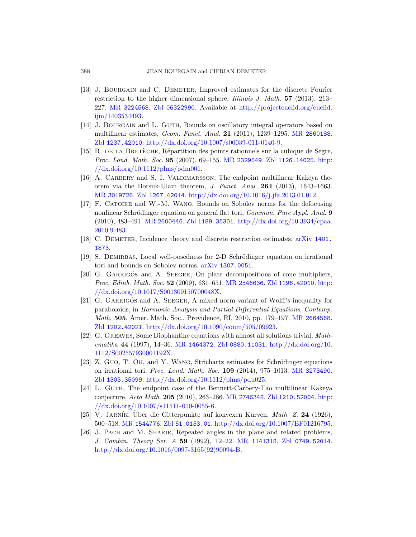- <span id="page-37-4"></span><span id="page-37-1"></span>[13] J. BOURGAIN and C. DEMETER, Improved estimates for the discrete Fourier restriction to the [higher dimen](http://www.ams.org/mathscinet-getitem?mr=2329549)s[ional sphere,](http://www.zentralblatt-math.org/zmath/en/search/?q=an:1126.14025) *Illi[nois J](http://dx.doi.org/10.1112/plms/pdm001). Math.* 57 (2013), 213– [227.](http://dx.doi.org/10.1112/plms/pdm001) MR 3224568. Zbl 06322990. Available at http://projecteuclid.org/euclid. ijm/1403534493.
- [14] J. BOURGAIN and L. GUTH, Bounds on oscillatory integral operators based on [multil](http://www.zentralblatt-math.org/zmath/en/search/?q=an:1267.42014)[inear estimates,](http://dx.doi.org/10.1016/j.jfa.2013.01.012) Geom. Funct. Anal. 21 (2011), 1239–1295. MR 2860188. Zbl 1237.42010. http://dx.doi.org/10.1007/s00039-011-0140-9.
- <span id="page-37-5"></span>[15] R. DE LA BRETÈCHE, Répartition des points rationnels sur la cubique de Segre, [Proc](http://www.ams.org/mathscinet-getitem?mr=2600446). Lond. [Math](http://www.zentralblatt-math.org/zmath/en/search/?q=an:1189.35301). Soc. 95 [\(2007\), 69–155.](http://dx.doi.org/10.3934/cpaa.2010.9.483) MR 2329549. Zbl 1126.14025. http:  $//dx.doi.org/10.1112/plms/pdm001.$
- <span id="page-37-2"></span>[16] A. CARBERY and S. I. VALDIMARSSON, [The endpoint](http://www.arxiv.org/abs/1401.1873) multilinear Kakeya theorem via the Borsuk-Ulam theorem, J. Funct. Anal. 264 (2013), 1643–1663. MR 3019726. Zbl 1267.42014. http://dx.doi.org/10.1016/j.jfa.2013.01.012.
- <span id="page-37-6"></span><span id="page-37-3"></span>[17] F. Catoire and [W.-M. W](http://www.arxiv.org/abs/1307.0051)ang, Bounds on Sobolev norms for the defocusing nonlinear Schrödinger equation on general flat tori, Commun. Pure Appl. Anal. 9 (2010), 483–491. MR [2600446](http://www.ams.org/mathscinet-getitem?mr=2546636). Zbl [1189.35301](http://www.zentralblatt-math.org/zmath/en/search/?q=an:1196.42010). h[ttp://](http://dx.doi.org/10.1017/S001309150700048X)dx.doi.org/10.3934/cpaa. [2010.9.483.](http://dx.doi.org/10.1017/S001309150700048X)
- <span id="page-37-0"></span>[18] C. DEMETER, Incidence theory and discrete restriction estimates. arXiv 1401. 1873.
- [19] S. DEMIRBAS, Local well-posedness for 2-D Schrödinger equation on irrational [tori and bounds on Sobolev norms.](http://dx.doi.org/10.1090/conm/505/09923) arXiv 1307.0051.
- <span id="page-37-8"></span>[20] G. GARRIGÓS and A. SEEGER, On plate decompositions of cone multipliers, Proc. [Edinb](http://www.ams.org/mathscinet-getitem?mr=1464372). Math. Soc. 52 (2009[\), 631–651.](http://dx.doi.org/10.1112/S002557930001192X) MR 2546636. Zbl 1196.42010. http: //dx.doi.org/10[.1017/S001309150](http://www.zentralblatt-math.org/zmath/en/search/?q=an:0880.11031)700048X.
- <span id="page-37-7"></span>[\[21\]](http://dx.doi.org/10.1112/S002557930001192X) G. GARRIGOS and A. SEEGER, A mixed norm variant of Wolff's inequality for paraboloids, in Harmonic Analysis and [Partial Differen](http://www.ams.org/mathscinet-getitem?mr=3273490)tial Equations, Contemp. Math. 505[, Amer. Math. Soc., P](http://dx.doi.org/10.1112/plms/pdu025)rovidence, RI, 2010, pp. 179–197. MR 2664568. Zbl 1202.42021. http://dx.doi.org/10.1090/conm/505/09923.
- [22] G. Greaves, Som[e Diophantine](http://www.ams.org/mathscinet-getitem?mr=2746348) [equations with al](http://www.zentralblatt-math.org/zmath/en/search/?q=an:1210.52004)[most a](http://dx.doi.org/10.1007/s11511-010-0055-6)ll solutions trivial, Math[ematika](http://dx.doi.org/10.1007/s11511-010-0055-6) 44 (1997), 14–36. MR 1464372. Zbl 0880.11031. http://dx.doi.org/10. 1112/S002557930001192X.
- [\[2](http://www.ams.org/mathscinet-getitem?mr=1544776)3] [Z. Guo](http://www.zentralblatt-math.org/zmath/en/search/?q=an:51.0153.01), T. Oh, and Y. WANG[, Strichartz estimates f](http://dx.doi.org/10.1007/BF01216795)or Schrödinger equations on irrational tori, Proc. Lond. Math. Soc. 109 (2014), 975–1013. MR 3273490. Zbl 1303.35099. http:[//dx.doi.org/1](http://www.ams.org/mathscinet-getitem?mr=1141318)[0.1112/plms/pdu0](http://www.zentralblatt-math.org/zmath/en/search/?q=an:0749.52014)25.
- [24] L. GUTH[, The endpoint](http://dx.doi.org/10.1016/0097-3165(92)90094-B) case of the Bennett-Carbery-Tao multilinear Kakeya conjecture, Acta Math. 205 (2010), 263–286. MR 2746348. Zbl 1210.52004. http:  $//dx.doi.org/10.1007/s11511-010-0055-6.$
- [25] V. JARNÍK, Uber die Gitterpunkte auf konvexen Kurven, *Math. Z.* 24 (1926), 500–518. MR 1544776. Zbl 51.0153.01. http://dx.doi.org/10.1007/BF01216795.
- [26] J. PACH and M. SHARIR, Repeated angles in the plane and related problems, J. Combin. Theory Ser. A 59 (1992), 12–22. MR 1141318. Zbl 0749.52014. http://dx.doi.org/10.1016/0097-3165(92)90094-B.